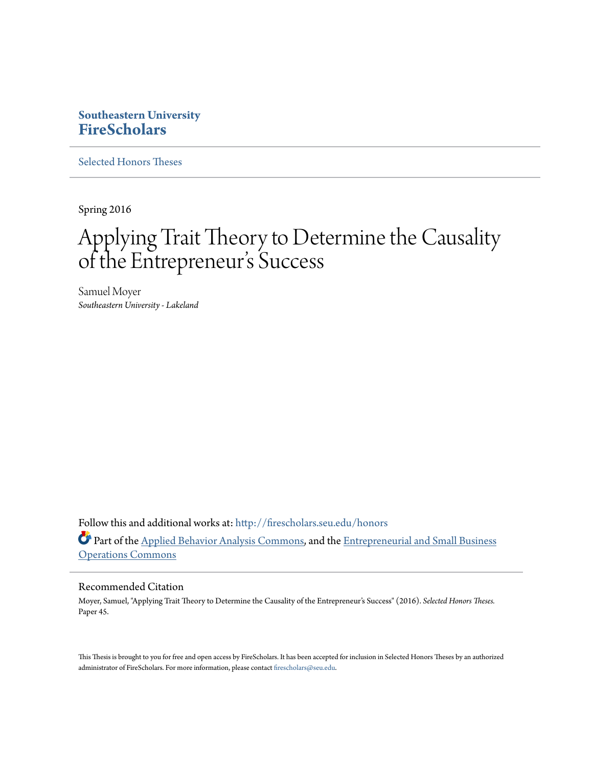### **Southeastern University [FireScholars](http://firescholars.seu.edu?utm_source=firescholars.seu.edu%2Fhonors%2F45&utm_medium=PDF&utm_campaign=PDFCoverPages)**

[Selected Honors Theses](http://firescholars.seu.edu/honors?utm_source=firescholars.seu.edu%2Fhonors%2F45&utm_medium=PDF&utm_campaign=PDFCoverPages)

Spring 2016

# Applying Trait Theory to Determine the Causality of the Entrepreneur 's Success

Samuel Moyer *Southeastern University - Lakeland*

Follow this and additional works at: [http://firescholars.seu.edu/honors](http://firescholars.seu.edu/honors?utm_source=firescholars.seu.edu%2Fhonors%2F45&utm_medium=PDF&utm_campaign=PDFCoverPages) Part of the [Applied Behavior Analysis Commons](http://network.bepress.com/hgg/discipline/1235?utm_source=firescholars.seu.edu%2Fhonors%2F45&utm_medium=PDF&utm_campaign=PDFCoverPages), and the [Entrepreneurial and Small Business](http://network.bepress.com/hgg/discipline/630?utm_source=firescholars.seu.edu%2Fhonors%2F45&utm_medium=PDF&utm_campaign=PDFCoverPages) [Operations Commons](http://network.bepress.com/hgg/discipline/630?utm_source=firescholars.seu.edu%2Fhonors%2F45&utm_medium=PDF&utm_campaign=PDFCoverPages)

#### Recommended Citation

Moyer, Samuel, "Applying Trait Theory to Determine the Causality of the Entrepreneur's Success" (2016). *Selected Honors Theses.* Paper 45.

This Thesis is brought to you for free and open access by FireScholars. It has been accepted for inclusion in Selected Honors Theses by an authorized administrator of FireScholars. For more information, please contact [firescholars@seu.edu](mailto:firescholars@seu.edu).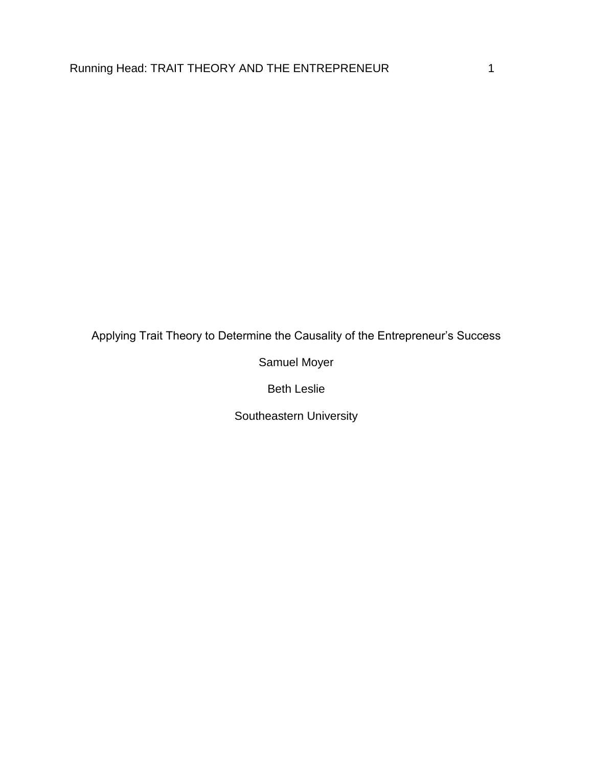Applying Trait Theory to Determine the Causality of the Entrepreneur's Success

Samuel Moyer

Beth Leslie

Southeastern University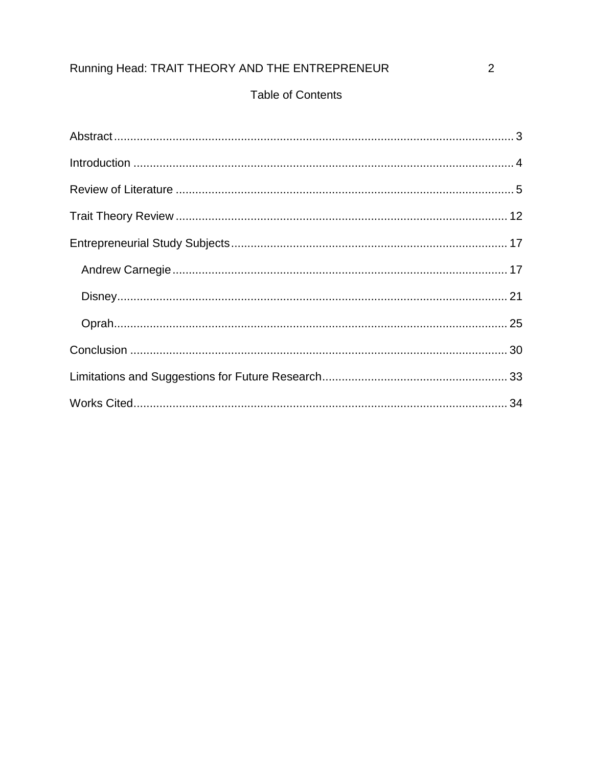### **Table of Contents**

 $\overline{2}$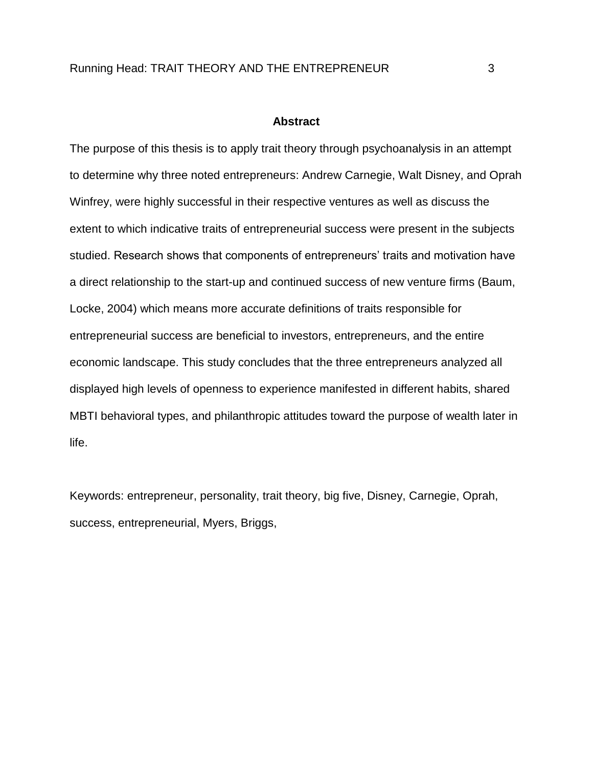#### **Abstract**

<span id="page-3-0"></span>The purpose of this thesis is to apply trait theory through psychoanalysis in an attempt to determine why three noted entrepreneurs: Andrew Carnegie, Walt Disney, and Oprah Winfrey, were highly successful in their respective ventures as well as discuss the extent to which indicative traits of entrepreneurial success were present in the subjects studied. Research shows that components of entrepreneurs' traits and motivation have a direct relationship to the start-up and continued success of new venture firms (Baum, Locke, 2004) which means more accurate definitions of traits responsible for entrepreneurial success are beneficial to investors, entrepreneurs, and the entire economic landscape. This study concludes that the three entrepreneurs analyzed all displayed high levels of openness to experience manifested in different habits, shared MBTI behavioral types, and philanthropic attitudes toward the purpose of wealth later in life.

Keywords: entrepreneur, personality, trait theory, big five, Disney, Carnegie, Oprah, success, entrepreneurial, Myers, Briggs,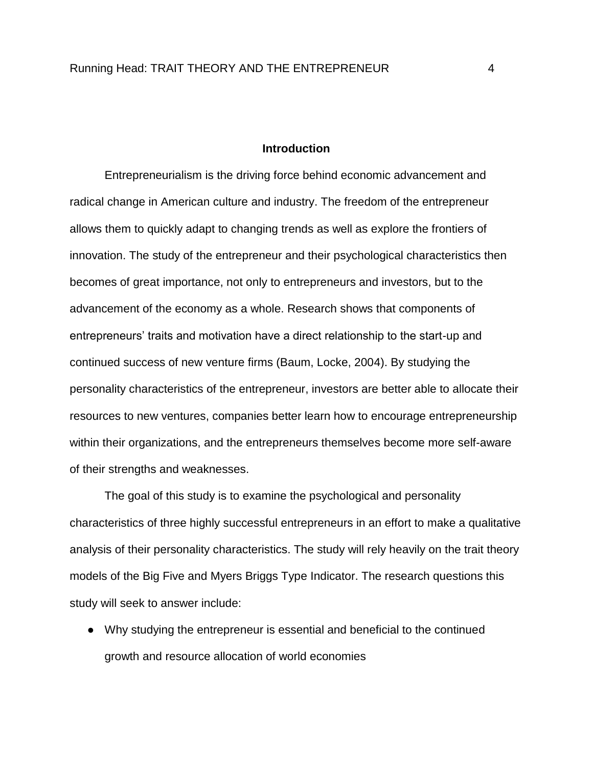#### **Introduction**

<span id="page-4-0"></span>Entrepreneurialism is the driving force behind economic advancement and radical change in American culture and industry. The freedom of the entrepreneur allows them to quickly adapt to changing trends as well as explore the frontiers of innovation. The study of the entrepreneur and their psychological characteristics then becomes of great importance, not only to entrepreneurs and investors, but to the advancement of the economy as a whole. Research shows that components of entrepreneurs' traits and motivation have a direct relationship to the start-up and continued success of new venture firms (Baum, Locke, 2004). By studying the personality characteristics of the entrepreneur, investors are better able to allocate their resources to new ventures, companies better learn how to encourage entrepreneurship within their organizations, and the entrepreneurs themselves become more self-aware of their strengths and weaknesses.

The goal of this study is to examine the psychological and personality characteristics of three highly successful entrepreneurs in an effort to make a qualitative analysis of their personality characteristics. The study will rely heavily on the trait theory models of the Big Five and Myers Briggs Type Indicator. The research questions this study will seek to answer include:

● Why studying the entrepreneur is essential and beneficial to the continued growth and resource allocation of world economies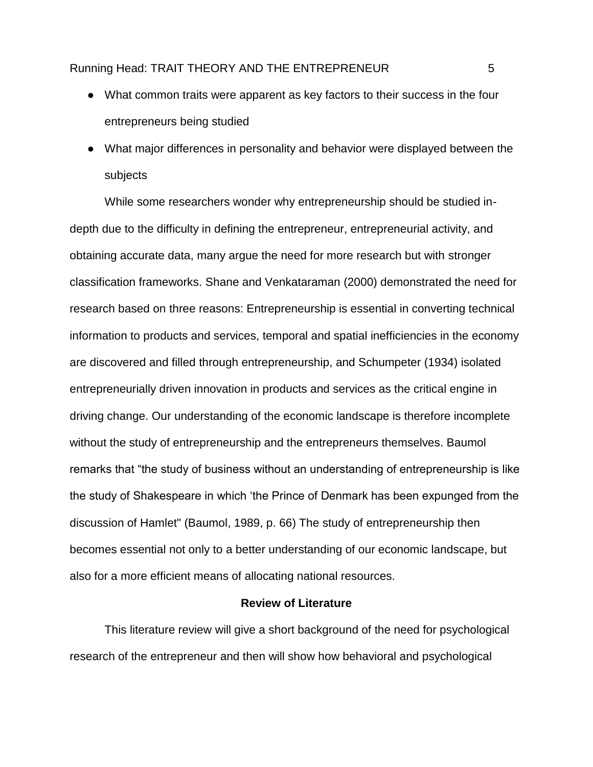- What common traits were apparent as key factors to their success in the four entrepreneurs being studied
- What major differences in personality and behavior were displayed between the subjects

While some researchers wonder why entrepreneurship should be studied indepth due to the difficulty in defining the entrepreneur, entrepreneurial activity, and obtaining accurate data, many argue the need for more research but with stronger classification frameworks. Shane and Venkataraman (2000) demonstrated the need for research based on three reasons: Entrepreneurship is essential in converting technical information to products and services, temporal and spatial inefficiencies in the economy are discovered and filled through entrepreneurship, and Schumpeter (1934) isolated entrepreneurially driven innovation in products and services as the critical engine in driving change. Our understanding of the economic landscape is therefore incomplete without the study of entrepreneurship and the entrepreneurs themselves. Baumol remarks that "the study of business without an understanding of entrepreneurship is like the study of Shakespeare in which 'the Prince of Denmark has been expunged from the discussion of Hamlet" (Baumol, 1989, p. 66) The study of entrepreneurship then becomes essential not only to a better understanding of our economic landscape, but also for a more efficient means of allocating national resources.

#### **Review of Literature**

<span id="page-5-0"></span>This literature review will give a short background of the need for psychological research of the entrepreneur and then will show how behavioral and psychological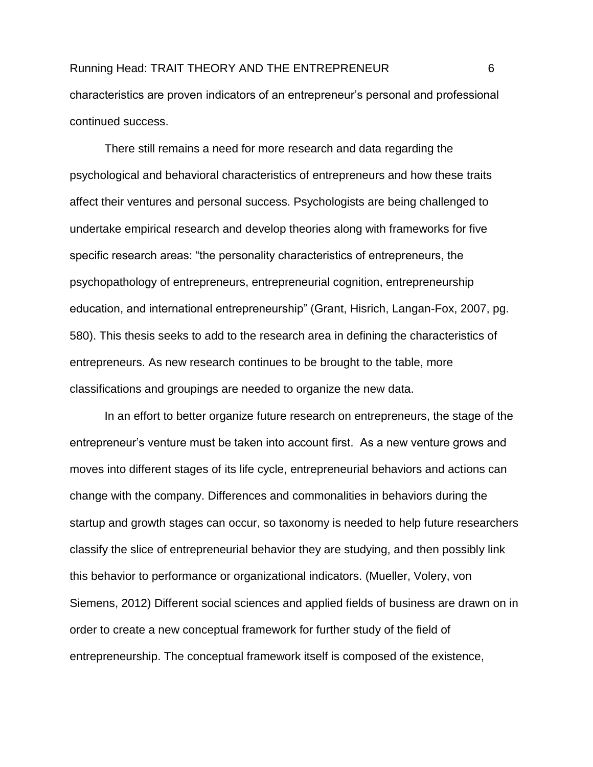## Running Head: TRAIT THEORY AND THE ENTREPRENEUR 6 characteristics are proven indicators of an entrepreneur's personal and professional continued success.

There still remains a need for more research and data regarding the psychological and behavioral characteristics of entrepreneurs and how these traits affect their ventures and personal success. Psychologists are being challenged to undertake empirical research and develop theories along with frameworks for five specific research areas: "the personality characteristics of entrepreneurs, the psychopathology of entrepreneurs, entrepreneurial cognition, entrepreneurship education, and international entrepreneurship" (Grant, Hisrich, Langan-Fox, 2007, pg. 580). This thesis seeks to add to the research area in defining the characteristics of entrepreneurs. As new research continues to be brought to the table, more classifications and groupings are needed to organize the new data.

In an effort to better organize future research on entrepreneurs, the stage of the entrepreneur's venture must be taken into account first. As a new venture grows and moves into different stages of its life cycle, entrepreneurial behaviors and actions can change with the company. Differences and commonalities in behaviors during the startup and growth stages can occur, so taxonomy is needed to help future researchers classify the slice of entrepreneurial behavior they are studying, and then possibly link this behavior to performance or organizational indicators. (Mueller, Volery, von Siemens, 2012) Different social sciences and applied fields of business are drawn on in order to create a new conceptual framework for further study of the field of entrepreneurship. The conceptual framework itself is composed of the existence,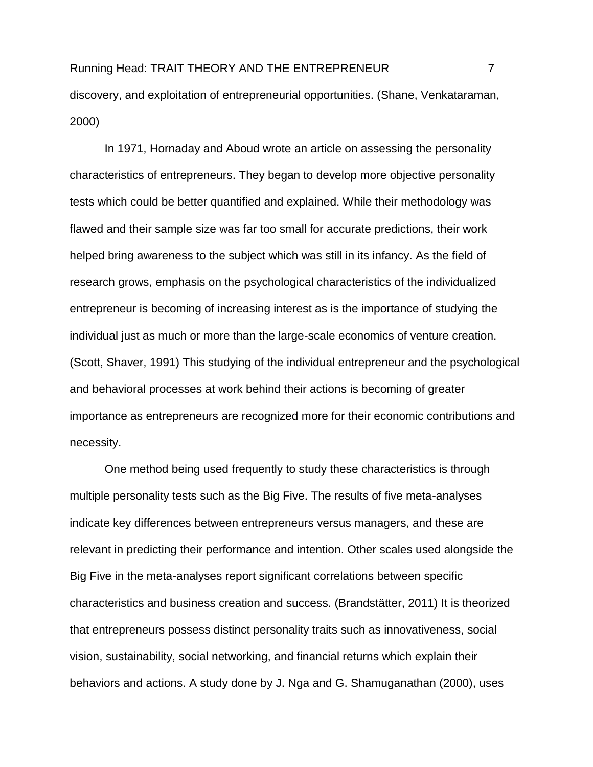In 1971, Hornaday and Aboud wrote an article on assessing the personality characteristics of entrepreneurs. They began to develop more objective personality tests which could be better quantified and explained. While their methodology was flawed and their sample size was far too small for accurate predictions, their work helped bring awareness to the subject which was still in its infancy. As the field of research grows, emphasis on the psychological characteristics of the individualized entrepreneur is becoming of increasing interest as is the importance of studying the individual just as much or more than the large-scale economics of venture creation. (Scott, Shaver, 1991) This studying of the individual entrepreneur and the psychological and behavioral processes at work behind their actions is becoming of greater importance as entrepreneurs are recognized more for their economic contributions and necessity.

One method being used frequently to study these characteristics is through multiple personality tests such as the Big Five. The results of five meta-analyses indicate key differences between entrepreneurs versus managers, and these are relevant in predicting their performance and intention. Other scales used alongside the Big Five in the meta-analyses report significant correlations between specific characteristics and business creation and success. (Brandstätter, 2011) It is theorized that entrepreneurs possess distinct personality traits such as innovativeness, social vision, sustainability, social networking, and financial returns which explain their behaviors and actions. A study done by J. Nga and G. Shamuganathan (2000), uses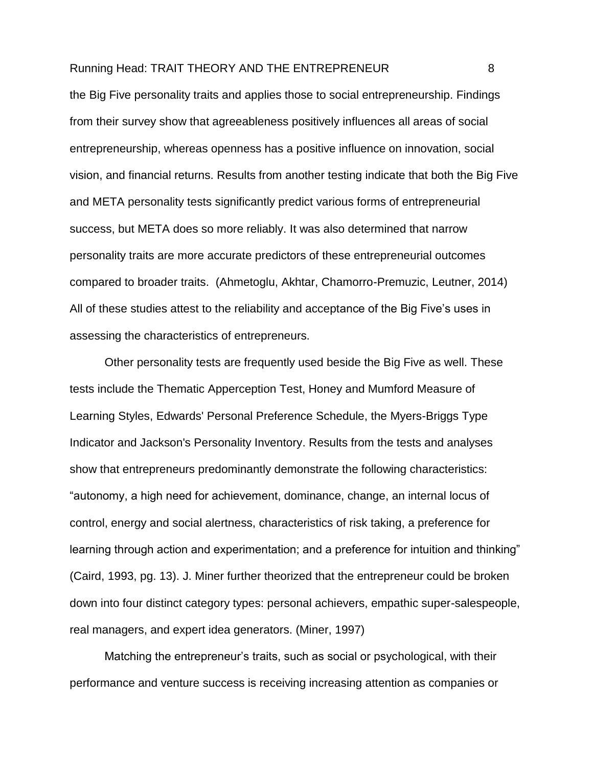the Big Five personality traits and applies those to social entrepreneurship. Findings from their survey show that agreeableness positively influences all areas of social entrepreneurship, whereas openness has a positive influence on innovation, social vision, and financial returns. Results from another testing indicate that both the Big Five and META personality tests significantly predict various forms of entrepreneurial success, but META does so more reliably. It was also determined that narrow personality traits are more accurate predictors of these entrepreneurial outcomes compared to broader traits. (Ahmetoglu, Akhtar, Chamorro-Premuzic, Leutner, 2014) All of these studies attest to the reliability and acceptance of the Big Five's uses in assessing the characteristics of entrepreneurs.

Other personality tests are frequently used beside the Big Five as well. These tests include the Thematic Apperception Test, Honey and Mumford Measure of Learning Styles, Edwards' Personal Preference Schedule, the Myers-Briggs Type Indicator and Jackson's Personality Inventory. Results from the tests and analyses show that entrepreneurs predominantly demonstrate the following characteristics: "autonomy, a high need for achievement, dominance, change, an internal locus of control, energy and social alertness, characteristics of risk taking, a preference for learning through action and experimentation; and a preference for intuition and thinking" (Caird, 1993, pg. 13). J. Miner further theorized that the entrepreneur could be broken down into four distinct category types: personal achievers, empathic super-salespeople, real managers, and expert idea generators. (Miner, 1997)

Matching the entrepreneur's traits, such as social or psychological, with their performance and venture success is receiving increasing attention as companies or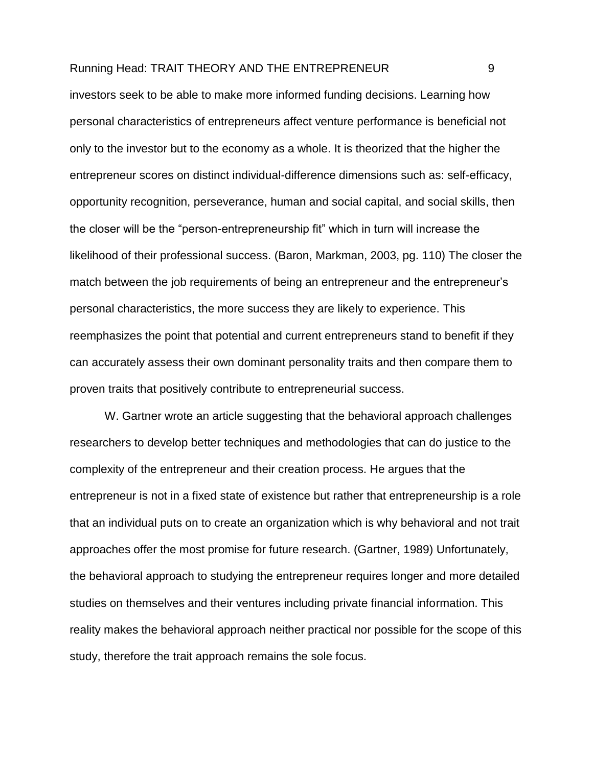investors seek to be able to make more informed funding decisions. Learning how personal characteristics of entrepreneurs affect venture performance is beneficial not only to the investor but to the economy as a whole. It is theorized that the higher the entrepreneur scores on distinct individual-difference dimensions such as: self-efficacy, opportunity recognition, perseverance, human and social capital, and social skills, then the closer will be the "person-entrepreneurship fit" which in turn will increase the likelihood of their professional success. (Baron, Markman, 2003, pg. 110) The closer the match between the job requirements of being an entrepreneur and the entrepreneur's personal characteristics, the more success they are likely to experience. This reemphasizes the point that potential and current entrepreneurs stand to benefit if they can accurately assess their own dominant personality traits and then compare them to proven traits that positively contribute to entrepreneurial success.

W. Gartner wrote an article suggesting that the behavioral approach challenges researchers to develop better techniques and methodologies that can do justice to the complexity of the entrepreneur and their creation process. He argues that the entrepreneur is not in a fixed state of existence but rather that entrepreneurship is a role that an individual puts on to create an organization which is why behavioral and not trait approaches offer the most promise for future research. (Gartner, 1989) Unfortunately, the behavioral approach to studying the entrepreneur requires longer and more detailed studies on themselves and their ventures including private financial information. This reality makes the behavioral approach neither practical nor possible for the scope of this study, therefore the trait approach remains the sole focus.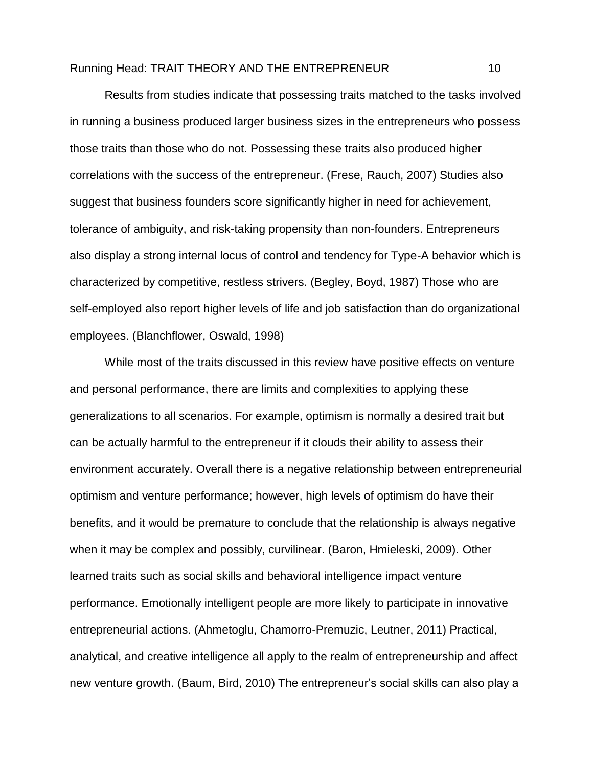Results from studies indicate that possessing traits matched to the tasks involved in running a business produced larger business sizes in the entrepreneurs who possess those traits than those who do not. Possessing these traits also produced higher correlations with the success of the entrepreneur. (Frese, Rauch, 2007) Studies also suggest that business founders score significantly higher in need for achievement, tolerance of ambiguity, and risk-taking propensity than non-founders. Entrepreneurs also display a strong internal locus of control and tendency for Type-A behavior which is characterized by competitive, restless strivers. (Begley, Boyd, 1987) Those who are self-employed also report higher levels of life and job satisfaction than do organizational employees. (Blanchflower, Oswald, 1998)

While most of the traits discussed in this review have positive effects on venture and personal performance, there are limits and complexities to applying these generalizations to all scenarios. For example, optimism is normally a desired trait but can be actually harmful to the entrepreneur if it clouds their ability to assess their environment accurately. Overall there is a negative relationship between entrepreneurial optimism and venture performance; however, high levels of optimism do have their benefits, and it would be premature to conclude that the relationship is always negative when it may be complex and possibly, curvilinear. (Baron, Hmieleski, 2009). Other learned traits such as social skills and behavioral intelligence impact venture performance. Emotionally intelligent people are more likely to participate in innovative entrepreneurial actions. (Ahmetoglu, Chamorro-Premuzic, Leutner, 2011) Practical, analytical, and creative intelligence all apply to the realm of entrepreneurship and affect new venture growth. (Baum, Bird, 2010) The entrepreneur's social skills can also play a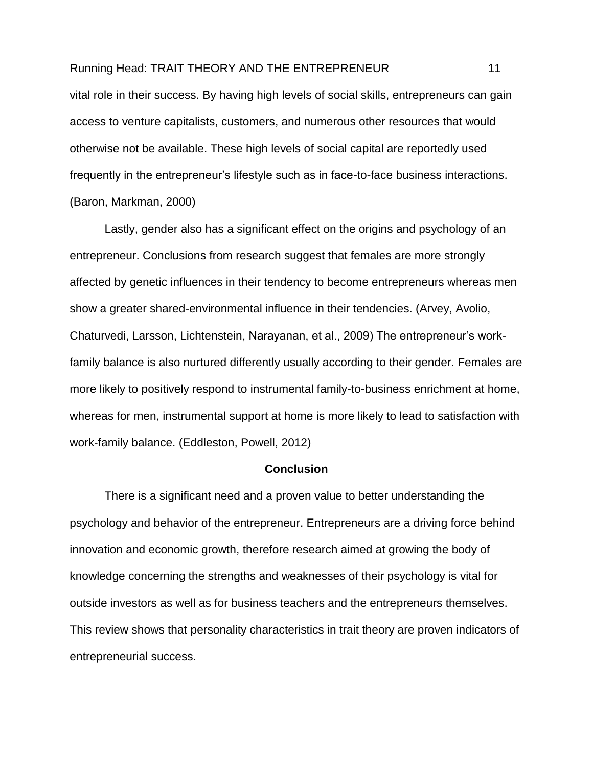vital role in their success. By having high levels of social skills, entrepreneurs can gain access to venture capitalists, customers, and numerous other resources that would otherwise not be available. These high levels of social capital are reportedly used frequently in the entrepreneur's lifestyle such as in face-to-face business interactions. (Baron, Markman, 2000)

Lastly, gender also has a significant effect on the origins and psychology of an entrepreneur. Conclusions from research suggest that females are more strongly affected by genetic influences in their tendency to become entrepreneurs whereas men show a greater shared-environmental influence in their tendencies. (Arvey, Avolio, Chaturvedi, Larsson, Lichtenstein, Narayanan, et al., 2009) The entrepreneur's workfamily balance is also nurtured differently usually according to their gender. Females are more likely to positively respond to instrumental family-to-business enrichment at home, whereas for men, instrumental support at home is more likely to lead to satisfaction with work-family balance. (Eddleston, Powell, 2012)

#### **Conclusion**

There is a significant need and a proven value to better understanding the psychology and behavior of the entrepreneur. Entrepreneurs are a driving force behind innovation and economic growth, therefore research aimed at growing the body of knowledge concerning the strengths and weaknesses of their psychology is vital for outside investors as well as for business teachers and the entrepreneurs themselves. This review shows that personality characteristics in trait theory are proven indicators of entrepreneurial success.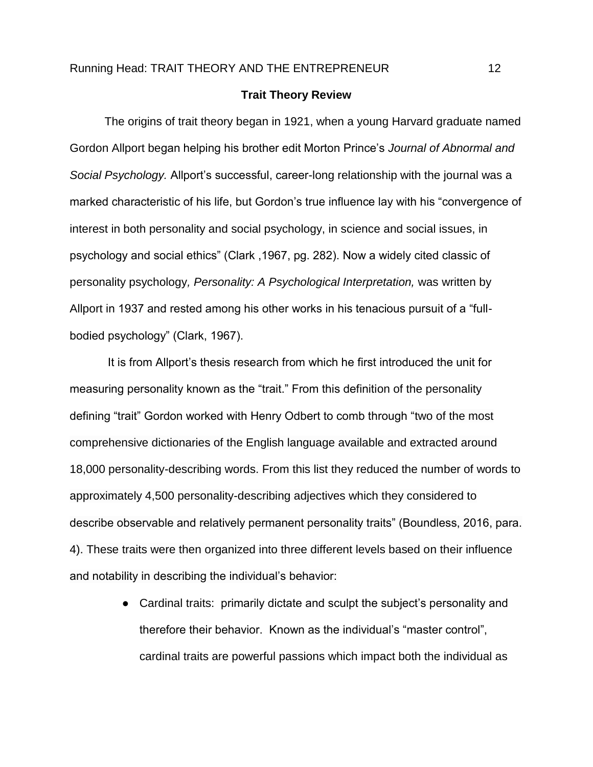#### **Trait Theory Review**

<span id="page-12-0"></span>The origins of trait theory began in 1921, when a young Harvard graduate named Gordon Allport began helping his brother edit Morton Prince's *Journal of Abnormal and Social Psychology.* Allport's successful, career-long relationship with the journal was a marked characteristic of his life, but Gordon's true influence lay with his "convergence of interest in both personality and social psychology, in science and social issues, in psychology and social ethics" (Clark ,1967, pg. 282). Now a widely cited classic of personality psychology*, Personality: A Psychological Interpretation,* was written by Allport in 1937 and rested among his other works in his tenacious pursuit of a "fullbodied psychology" (Clark, 1967).

It is from Allport's thesis research from which he first introduced the unit for measuring personality known as the "trait." From this definition of the personality defining "trait" Gordon worked with Henry Odbert to comb through "two of the most comprehensive dictionaries of the English language available and extracted around 18,000 personality-describing words. From this list they reduced the number of words to approximately 4,500 personality-describing adjectives which they considered to describe observable and relatively permanent personality traits" (Boundless, 2016, para. 4). These traits were then organized into three different levels based on their influence and notability in describing the individual's behavior:

> ● Cardinal traits: primarily dictate and sculpt the subject's personality and therefore their behavior. Known as the individual's "master control", cardinal traits are powerful passions which impact both the individual as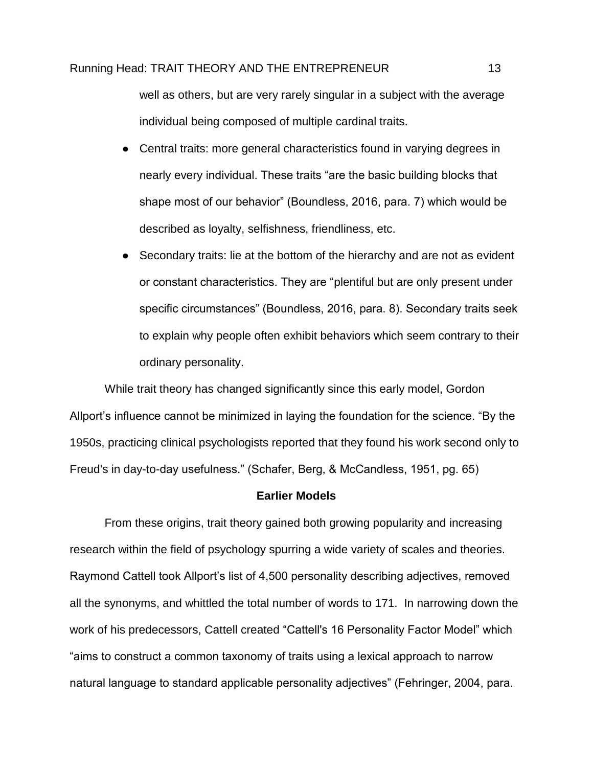well as others, but are very rarely singular in a subject with the average individual being composed of multiple cardinal traits.

- Central traits: more general characteristics found in varying degrees in nearly every individual. These traits "are the basic building blocks that shape most of our behavior" (Boundless, 2016, para. 7) which would be described as loyalty, selfishness, friendliness, etc.
- Secondary traits: lie at the bottom of the hierarchy and are not as evident or constant characteristics. They are "plentiful but are only present under specific circumstances" (Boundless, 2016, para. 8). Secondary traits seek to explain why people often exhibit behaviors which seem contrary to their ordinary personality.

While trait theory has changed significantly since this early model, Gordon Allport's influence cannot be minimized in laying the foundation for the science. "By the 1950s, practicing clinical psychologists reported that they found his work second only to Freud's in day-to-day usefulness." (Schafer, Berg, & McCandless, 1951, pg. 65)

#### **Earlier Models**

From these origins, trait theory gained both growing popularity and increasing research within the field of psychology spurring a wide variety of scales and theories. Raymond Cattell took Allport's list of 4,500 personality describing adjectives, removed all the synonyms, and whittled the total number of words to 171. In narrowing down the work of his predecessors, Cattell created "Cattell's 16 Personality Factor Model" which "aims to construct a common taxonomy of traits using a lexical approach to narrow natural language to standard applicable personality adjectives" (Fehringer, 2004, para.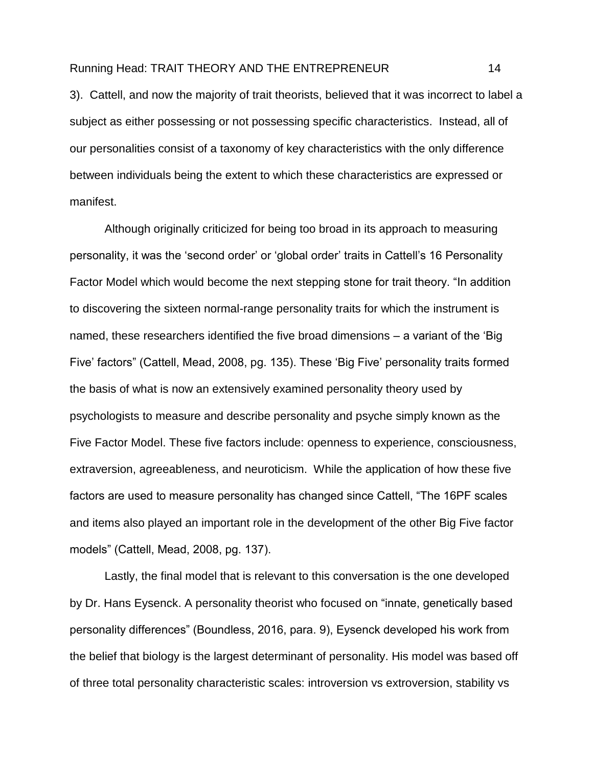3). Cattell, and now the majority of trait theorists, believed that it was incorrect to label a subject as either possessing or not possessing specific characteristics. Instead, all of our personalities consist of a taxonomy of key characteristics with the only difference between individuals being the extent to which these characteristics are expressed or manifest.

Although originally criticized for being too broad in its approach to measuring personality, it was the 'second order' or 'global order' traits in Cattell's 16 Personality Factor Model which would become the next stepping stone for trait theory. "In addition to discovering the sixteen normal-range personality traits for which the instrument is named, these researchers identified the five broad dimensions – a variant of the 'Big Five' factors" (Cattell, Mead, 2008, pg. 135). These 'Big Five' personality traits formed the basis of what is now an extensively examined personality theory used by psychologists to measure and describe personality and psyche simply known as the Five Factor Model. These five factors include: openness to experience, consciousness, extraversion, agreeableness, and neuroticism. While the application of how these five factors are used to measure personality has changed since Cattell, "The 16PF scales and items also played an important role in the development of the other Big Five factor models" (Cattell, Mead, 2008, pg. 137).

Lastly, the final model that is relevant to this conversation is the one developed by Dr. Hans Eysenck. A personality theorist who focused on "innate, genetically based personality differences" (Boundless, 2016, para. 9), Eysenck developed his work from the belief that biology is the largest determinant of personality. His model was based off of three total personality characteristic scales: introversion vs extroversion, stability vs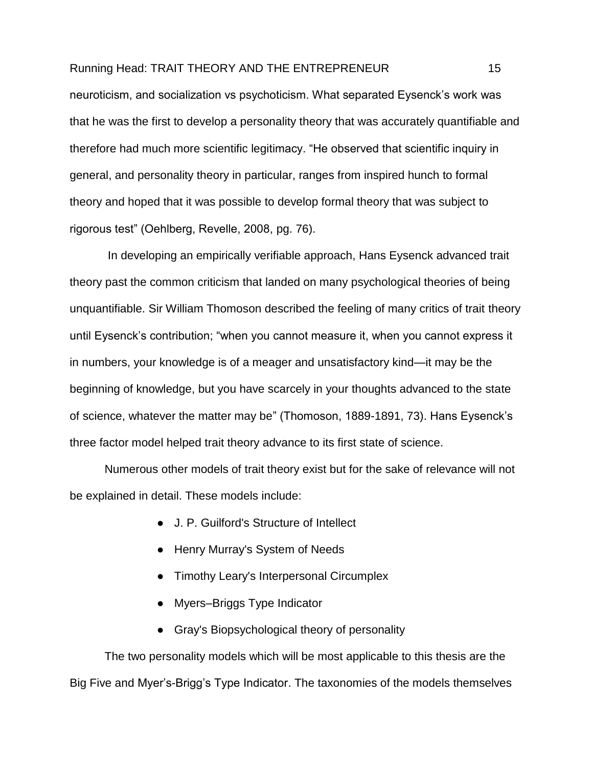neuroticism, and socialization vs psychoticism. What separated Eysenck's work was that he was the first to develop a personality theory that was accurately quantifiable and therefore had much more scientific legitimacy. "He observed that scientific inquiry in general, and personality theory in particular, ranges from inspired hunch to formal theory and hoped that it was possible to develop formal theory that was subject to rigorous test" (Oehlberg, Revelle, 2008, pg. 76).

In developing an empirically verifiable approach, Hans Eysenck advanced trait theory past the common criticism that landed on many psychological theories of being unquantifiable. Sir William Thomoson described the feeling of many critics of trait theory until Eysenck's contribution; "when you cannot measure it, when you cannot express it in numbers, your knowledge is of a meager and unsatisfactory kind—it may be the beginning of knowledge, but you have scarcely in your thoughts advanced to the state of science, whatever the matter may be" (Thomoson, 1889-1891, 73). Hans Eysenck's three factor model helped trait theory advance to its first state of science.

Numerous other models of trait theory exist but for the sake of relevance will not be explained in detail. These models include:

- J. P. Guilford's Structure of Intellect
- Henry Murray's System of Needs
- Timothy Leary's Interpersonal Circumplex
- Myers–Briggs Type Indicator
- Gray's Biopsychological theory of personality

The two personality models which will be most applicable to this thesis are the Big Five and Myer's-Brigg's Type Indicator. The taxonomies of the models themselves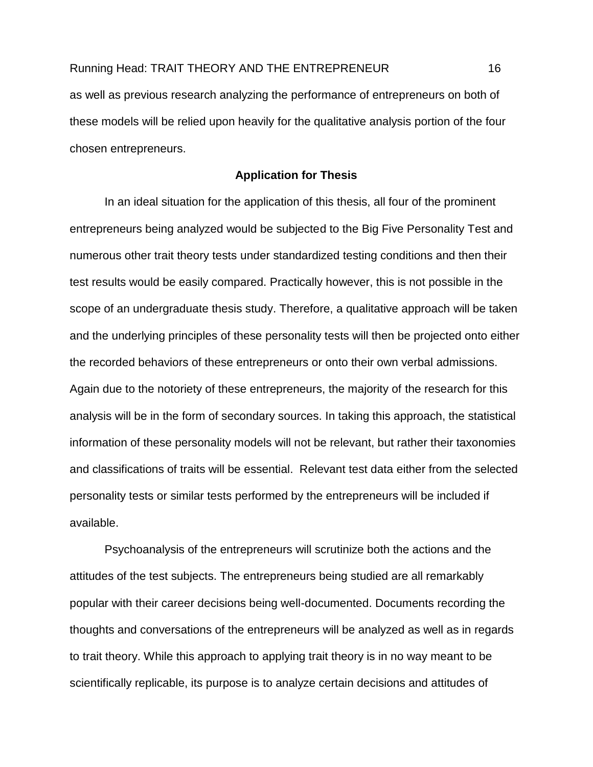as well as previous research analyzing the performance of entrepreneurs on both of these models will be relied upon heavily for the qualitative analysis portion of the four chosen entrepreneurs.

#### **Application for Thesis**

In an ideal situation for the application of this thesis, all four of the prominent entrepreneurs being analyzed would be subjected to the Big Five Personality Test and numerous other trait theory tests under standardized testing conditions and then their test results would be easily compared. Practically however, this is not possible in the scope of an undergraduate thesis study. Therefore, a qualitative approach will be taken and the underlying principles of these personality tests will then be projected onto either the recorded behaviors of these entrepreneurs or onto their own verbal admissions. Again due to the notoriety of these entrepreneurs, the majority of the research for this analysis will be in the form of secondary sources. In taking this approach, the statistical information of these personality models will not be relevant, but rather their taxonomies and classifications of traits will be essential. Relevant test data either from the selected personality tests or similar tests performed by the entrepreneurs will be included if available.

Psychoanalysis of the entrepreneurs will scrutinize both the actions and the attitudes of the test subjects. The entrepreneurs being studied are all remarkably popular with their career decisions being well-documented. Documents recording the thoughts and conversations of the entrepreneurs will be analyzed as well as in regards to trait theory. While this approach to applying trait theory is in no way meant to be scientifically replicable, its purpose is to analyze certain decisions and attitudes of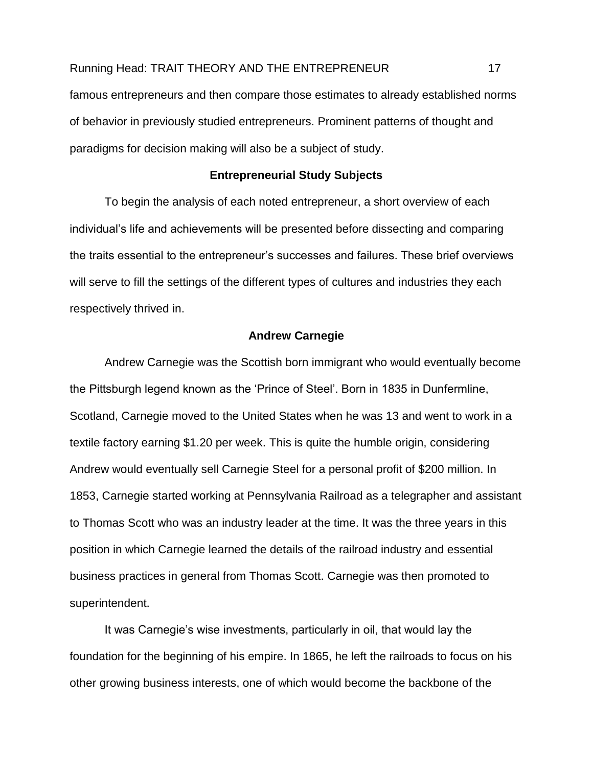famous entrepreneurs and then compare those estimates to already established norms of behavior in previously studied entrepreneurs. Prominent patterns of thought and paradigms for decision making will also be a subject of study.

#### **Entrepreneurial Study Subjects**

<span id="page-17-0"></span>To begin the analysis of each noted entrepreneur, a short overview of each individual's life and achievements will be presented before dissecting and comparing the traits essential to the entrepreneur's successes and failures. These brief overviews will serve to fill the settings of the different types of cultures and industries they each respectively thrived in.

#### **Andrew Carnegie**

<span id="page-17-1"></span>Andrew Carnegie was the Scottish born immigrant who would eventually become the Pittsburgh legend known as the 'Prince of Steel'. Born in 1835 in Dunfermline, Scotland, Carnegie moved to the United States when he was 13 and went to work in a textile factory earning \$1.20 per week. This is quite the humble origin, considering Andrew would eventually sell Carnegie Steel for a personal profit of \$200 million. In 1853, Carnegie started working at Pennsylvania Railroad as a telegrapher and assistant to Thomas Scott who was an industry leader at the time. It was the three years in this position in which Carnegie learned the details of the railroad industry and essential business practices in general from Thomas Scott. Carnegie was then promoted to superintendent.

It was Carnegie's wise investments, particularly in oil, that would lay the foundation for the beginning of his empire. In 1865, he left the railroads to focus on his other growing business interests, one of which would become the backbone of the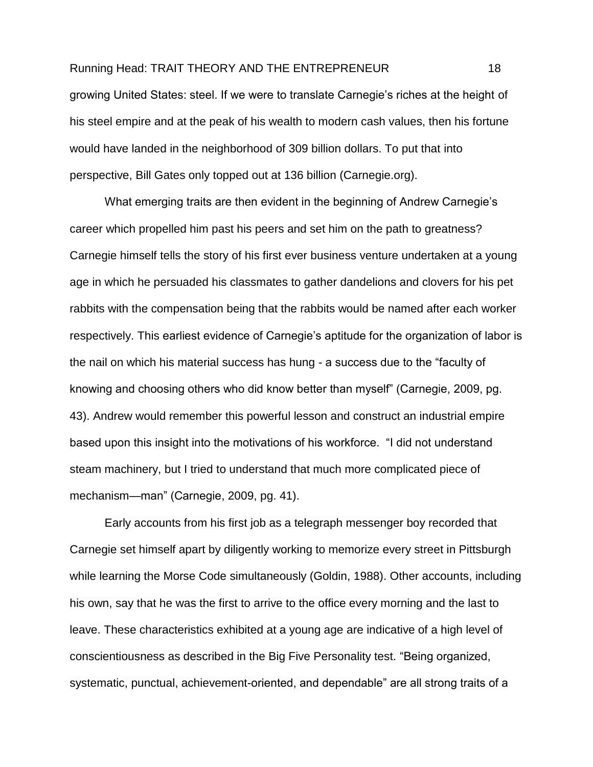growing United States: steel. If we were to translate Carnegie's riches at the height of his steel empire and at the peak of his wealth to modern cash values, then his fortune would have landed in the neighborhood of 309 billion dollars. To put that into perspective, Bill Gates only topped out at 136 billion (Carnegie.org).

What emerging traits are then evident in the beginning of Andrew Carnegie's career which propelled him past his peers and set him on the path to greatness? Carnegie himself tells the story of his first ever business venture undertaken at a young age in which he persuaded his classmates to gather dandelions and clovers for his pet rabbits with the compensation being that the rabbits would be named after each worker respectively. This earliest evidence of Carnegie's aptitude for the organization of labor is the nail on which his material success has hung - a success due to the "faculty of knowing and choosing others who did know better than myself" (Carnegie, 2009, pg. 43). Andrew would remember this powerful lesson and construct an industrial empire based upon this insight into the motivations of his workforce. "I did not understand steam machinery, but I tried to understand that much more complicated piece of mechanism—man" (Carnegie, 2009, pg. 41).

Early accounts from his first job as a telegraph messenger boy recorded that Carnegie set himself apart by diligently working to memorize every street in Pittsburgh while learning the Morse Code simultaneously (Goldin, 1988). Other accounts, including his own, say that he was the first to arrive to the office every morning and the last to leave. These characteristics exhibited at a young age are indicative of a high level of conscientiousness as described in the Big Five Personality test. "Being organized, systematic, punctual, achievement-oriented, and dependable" are all strong traits of a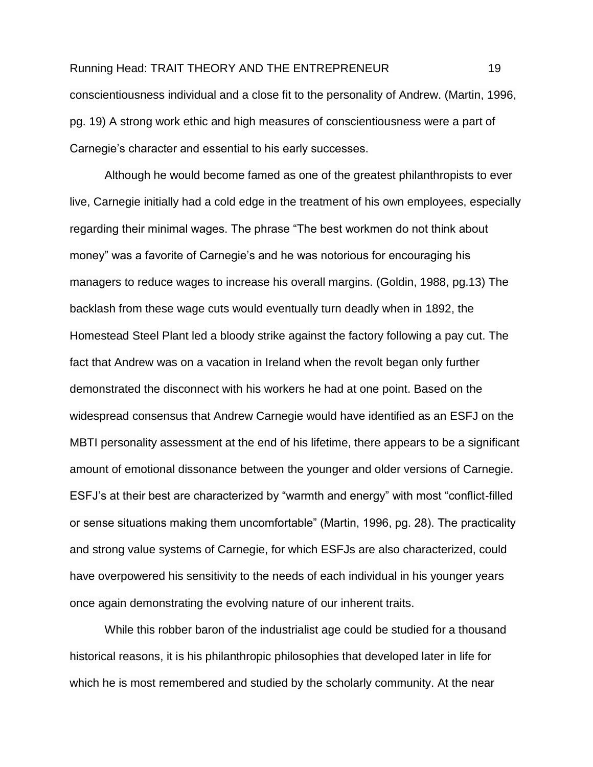## Running Head: TRAIT THEORY AND THE ENTREPRENEUR 19 conscientiousness individual and a close fit to the personality of Andrew. (Martin, 1996, pg. 19) A strong work ethic and high measures of conscientiousness were a part of Carnegie's character and essential to his early successes.

Although he would become famed as one of the greatest philanthropists to ever live, Carnegie initially had a cold edge in the treatment of his own employees, especially regarding their minimal wages. The phrase "The best workmen do not think about money" was a favorite of Carnegie's and he was notorious for encouraging his managers to reduce wages to increase his overall margins. (Goldin, 1988, pg.13) The backlash from these wage cuts would eventually turn deadly when in 1892, the Homestead Steel Plant led a bloody strike against the factory following a pay cut. The fact that Andrew was on a vacation in Ireland when the revolt began only further demonstrated the disconnect with his workers he had at one point. Based on the widespread consensus that Andrew Carnegie would have identified as an ESFJ on the MBTI personality assessment at the end of his lifetime, there appears to be a significant amount of emotional dissonance between the younger and older versions of Carnegie. ESFJ's at their best are characterized by "warmth and energy" with most "conflict-filled or sense situations making them uncomfortable" (Martin, 1996, pg. 28). The practicality and strong value systems of Carnegie, for which ESFJs are also characterized, could have overpowered his sensitivity to the needs of each individual in his younger years once again demonstrating the evolving nature of our inherent traits.

While this robber baron of the industrialist age could be studied for a thousand historical reasons, it is his philanthropic philosophies that developed later in life for which he is most remembered and studied by the scholarly community. At the near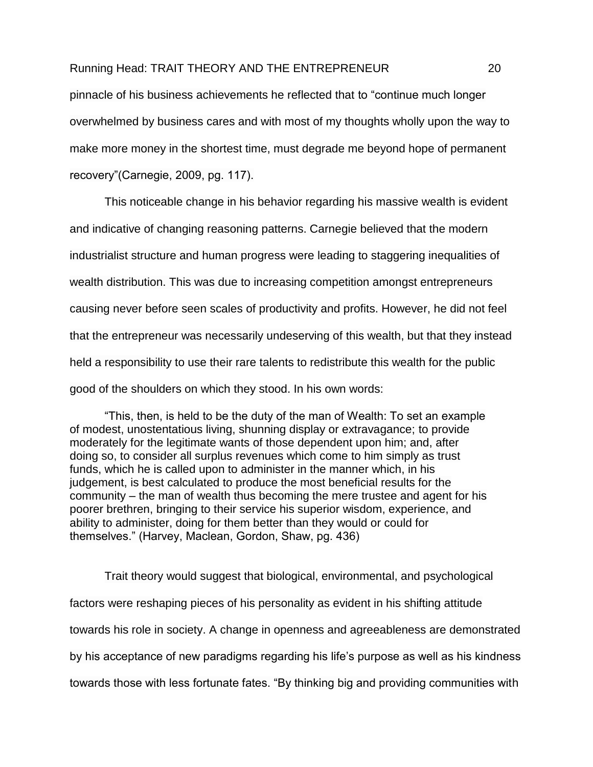pinnacle of his business achievements he reflected that to "continue much longer overwhelmed by business cares and with most of my thoughts wholly upon the way to make more money in the shortest time, must degrade me beyond hope of permanent recovery"(Carnegie, 2009, pg. 117).

This noticeable change in his behavior regarding his massive wealth is evident and indicative of changing reasoning patterns. Carnegie believed that the modern industrialist structure and human progress were leading to staggering inequalities of wealth distribution. This was due to increasing competition amongst entrepreneurs causing never before seen scales of productivity and profits. However, he did not feel that the entrepreneur was necessarily undeserving of this wealth, but that they instead held a responsibility to use their rare talents to redistribute this wealth for the public good of the shoulders on which they stood. In his own words:

"This, then, is held to be the duty of the man of Wealth: To set an example of modest, unostentatious living, shunning display or extravagance; to provide moderately for the legitimate wants of those dependent upon him; and, after doing so, to consider all surplus revenues which come to him simply as trust funds, which he is called upon to administer in the manner which, in his judgement, is best calculated to produce the most beneficial results for the community – the man of wealth thus becoming the mere trustee and agent for his poorer brethren, bringing to their service his superior wisdom, experience, and ability to administer, doing for them better than they would or could for themselves." (Harvey, Maclean, Gordon, Shaw, pg. 436)

Trait theory would suggest that biological, environmental, and psychological factors were reshaping pieces of his personality as evident in his shifting attitude towards his role in society. A change in openness and agreeableness are demonstrated by his acceptance of new paradigms regarding his life's purpose as well as his kindness towards those with less fortunate fates. "By thinking big and providing communities with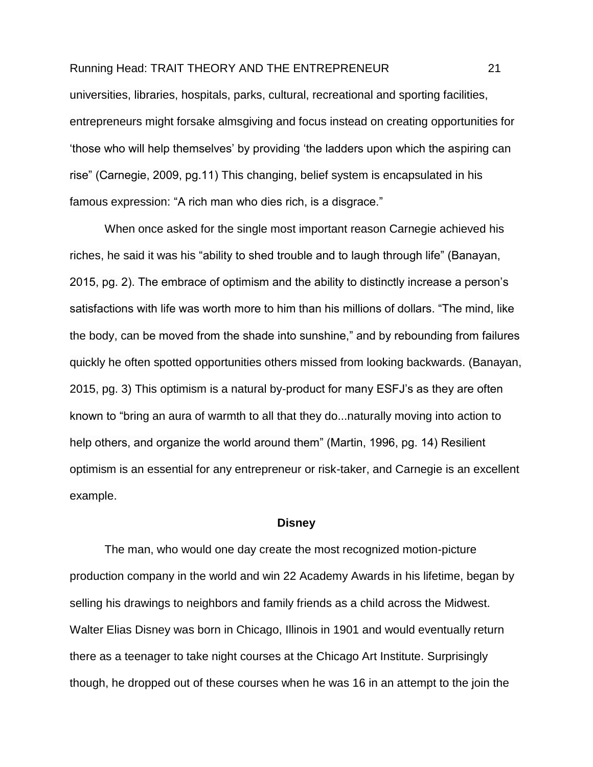universities, libraries, hospitals, parks, cultural, recreational and sporting facilities, entrepreneurs might forsake almsgiving and focus instead on creating opportunities for 'those who will help themselves' by providing 'the ladders upon which the aspiring can rise" (Carnegie, 2009, pg.11) This changing, belief system is encapsulated in his famous expression: "A rich man who dies rich, is a disgrace."

When once asked for the single most important reason Carnegie achieved his riches, he said it was his "ability to shed trouble and to laugh through life" (Banayan, 2015, pg. 2). The embrace of optimism and the ability to distinctly increase a person's satisfactions with life was worth more to him than his millions of dollars. "The mind, like the body, can be moved from the shade into sunshine," and by rebounding from failures quickly he often spotted opportunities others missed from looking backwards. (Banayan, 2015, pg. 3) This optimism is a natural by-product for many ESFJ's as they are often known to "bring an aura of warmth to all that they do...naturally moving into action to help others, and organize the world around them" (Martin, 1996, pg. 14) Resilient optimism is an essential for any entrepreneur or risk-taker, and Carnegie is an excellent example.

#### **Disney**

<span id="page-21-0"></span>The man, who would one day create the most recognized motion-picture production company in the world and win 22 Academy Awards in his lifetime, began by selling his drawings to neighbors and family friends as a child across the Midwest. Walter Elias Disney was born in Chicago, Illinois in 1901 and would eventually return there as a teenager to take night courses at the Chicago Art Institute. Surprisingly though, he dropped out of these courses when he was 16 in an attempt to the join the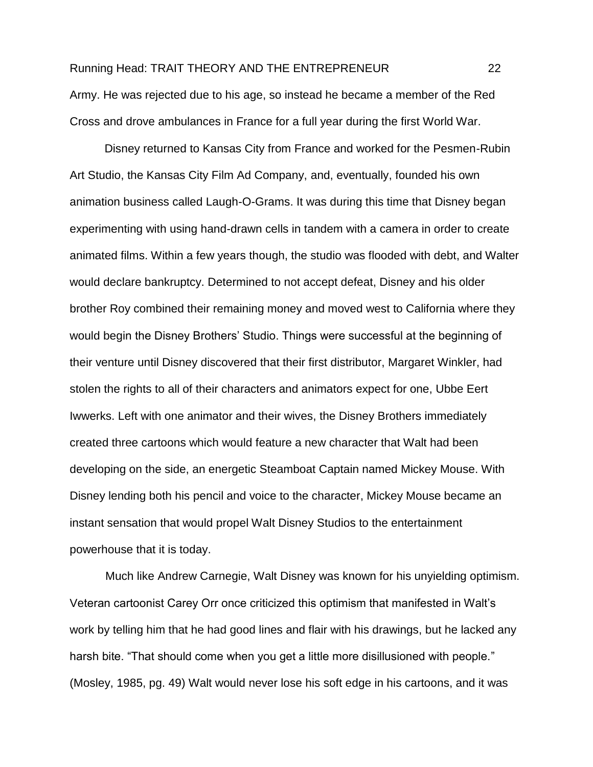Army. He was rejected due to his age, so instead he became a member of the Red Cross and drove ambulances in France for a full year during the first World War.

Disney returned to Kansas City from France and worked for the Pesmen-Rubin Art Studio, the Kansas City Film Ad Company, and, eventually, founded his own animation business called Laugh-O-Grams. It was during this time that Disney began experimenting with using hand-drawn cells in tandem with a camera in order to create animated films. Within a few years though, the studio was flooded with debt, and Walter would declare bankruptcy. Determined to not accept defeat, Disney and his older brother Roy combined their remaining money and moved west to California where they would begin the Disney Brothers' Studio. Things were successful at the beginning of their venture until Disney discovered that their first distributor, Margaret Winkler, had stolen the rights to all of their characters and animators expect for one, Ubbe Eert Iwwerks. Left with one animator and their wives, the Disney Brothers immediately created three cartoons which would feature a new character that Walt had been developing on the side, an energetic Steamboat Captain named Mickey Mouse. With Disney lending both his pencil and voice to the character, Mickey Mouse became an instant sensation that would propel Walt Disney Studios to the entertainment powerhouse that it is today.

 Much like Andrew Carnegie, Walt Disney was known for his unyielding optimism. Veteran cartoonist Carey Orr once criticized this optimism that manifested in Walt's work by telling him that he had good lines and flair with his drawings, but he lacked any harsh bite. "That should come when you get a little more disillusioned with people." (Mosley, 1985, pg. 49) Walt would never lose his soft edge in his cartoons, and it was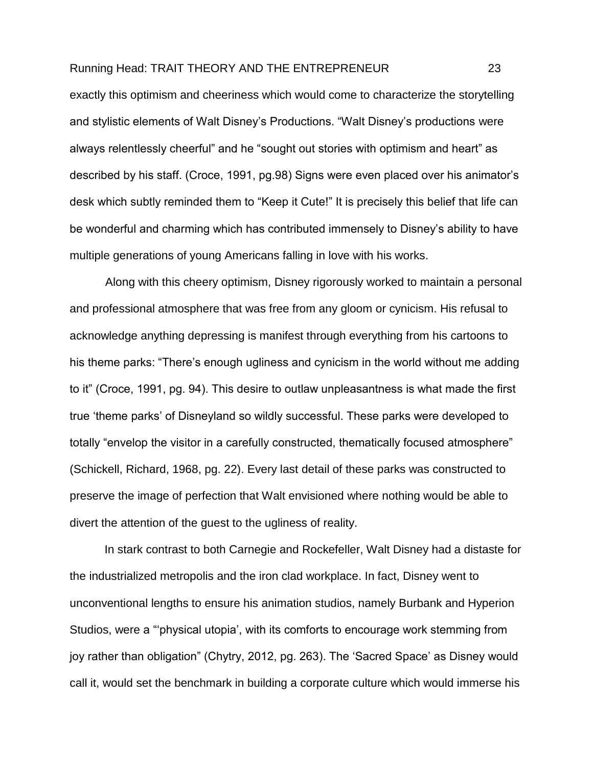exactly this optimism and cheeriness which would come to characterize the storytelling and stylistic elements of Walt Disney's Productions. "Walt Disney's productions were always relentlessly cheerful" and he "sought out stories with optimism and heart" as described by his staff. (Croce, 1991, pg.98) Signs were even placed over his animator's desk which subtly reminded them to "Keep it Cute!" It is precisely this belief that life can be wonderful and charming which has contributed immensely to Disney's ability to have multiple generations of young Americans falling in love with his works.

 Along with this cheery optimism, Disney rigorously worked to maintain a personal and professional atmosphere that was free from any gloom or cynicism. His refusal to acknowledge anything depressing is manifest through everything from his cartoons to his theme parks: "There's enough ugliness and cynicism in the world without me adding to it" (Croce, 1991, pg. 94). This desire to outlaw unpleasantness is what made the first true 'theme parks' of Disneyland so wildly successful. These parks were developed to totally "envelop the visitor in a carefully constructed, thematically focused atmosphere" (Schickell, Richard, 1968, pg. 22). Every last detail of these parks was constructed to preserve the image of perfection that Walt envisioned where nothing would be able to divert the attention of the guest to the ugliness of reality.

In stark contrast to both Carnegie and Rockefeller, Walt Disney had a distaste for the industrialized metropolis and the iron clad workplace. In fact, Disney went to unconventional lengths to ensure his animation studios, namely Burbank and Hyperion Studios, were a "'physical utopia', with its comforts to encourage work stemming from joy rather than obligation" (Chytry, 2012, pg. 263). The 'Sacred Space' as Disney would call it, would set the benchmark in building a corporate culture which would immerse his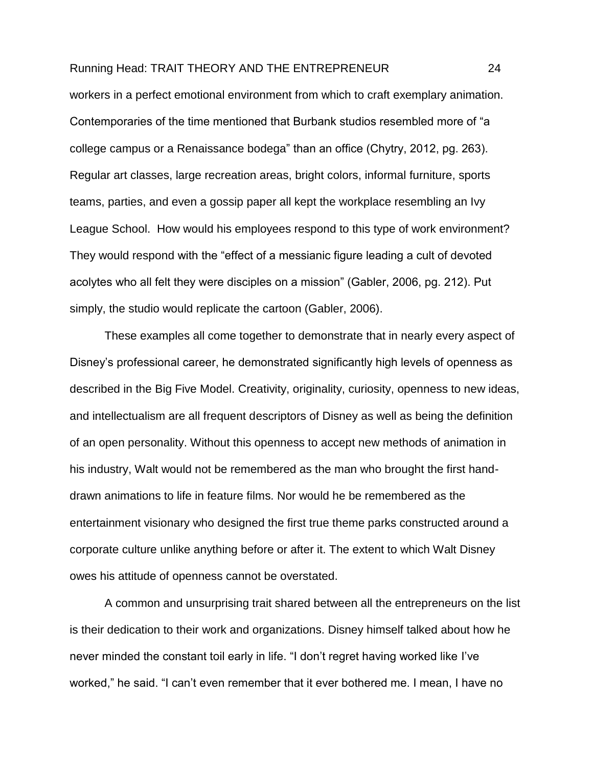workers in a perfect emotional environment from which to craft exemplary animation. Contemporaries of the time mentioned that Burbank studios resembled more of "a college campus or a Renaissance bodega" than an office (Chytry, 2012, pg. 263). Regular art classes, large recreation areas, bright colors, informal furniture, sports teams, parties, and even a gossip paper all kept the workplace resembling an Ivy League School. How would his employees respond to this type of work environment? They would respond with the "effect of a messianic figure leading a cult of devoted acolytes who all felt they were disciples on a mission" (Gabler, 2006, pg. 212). Put simply, the studio would replicate the cartoon (Gabler, 2006).

These examples all come together to demonstrate that in nearly every aspect of Disney's professional career, he demonstrated significantly high levels of openness as described in the Big Five Model. Creativity, originality, curiosity, openness to new ideas, and intellectualism are all frequent descriptors of Disney as well as being the definition of an open personality. Without this openness to accept new methods of animation in his industry, Walt would not be remembered as the man who brought the first handdrawn animations to life in feature films. Nor would he be remembered as the entertainment visionary who designed the first true theme parks constructed around a corporate culture unlike anything before or after it. The extent to which Walt Disney owes his attitude of openness cannot be overstated.

A common and unsurprising trait shared between all the entrepreneurs on the list is their dedication to their work and organizations. Disney himself talked about how he never minded the constant toil early in life. "I don't regret having worked like I've worked," he said. "I can't even remember that it ever bothered me. I mean, I have no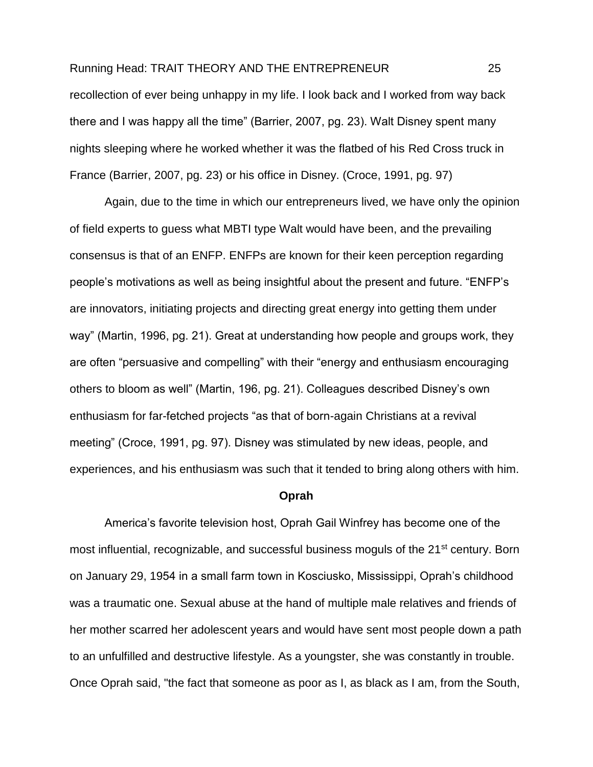recollection of ever being unhappy in my life. I look back and I worked from way back there and I was happy all the time" (Barrier, 2007, pg. 23). Walt Disney spent many nights sleeping where he worked whether it was the flatbed of his Red Cross truck in France (Barrier, 2007, pg. 23) or his office in Disney. (Croce, 1991, pg. 97)

Again, due to the time in which our entrepreneurs lived, we have only the opinion of field experts to guess what MBTI type Walt would have been, and the prevailing consensus is that of an ENFP. ENFPs are known for their keen perception regarding people's motivations as well as being insightful about the present and future. "ENFP's are innovators, initiating projects and directing great energy into getting them under way" (Martin, 1996, pg. 21). Great at understanding how people and groups work, they are often "persuasive and compelling" with their "energy and enthusiasm encouraging others to bloom as well" (Martin, 196, pg. 21). Colleagues described Disney's own enthusiasm for far-fetched projects "as that of born-again Christians at a revival meeting" (Croce, 1991, pg. 97). Disney was stimulated by new ideas, people, and experiences, and his enthusiasm was such that it tended to bring along others with him.

#### **Oprah**

<span id="page-25-0"></span>America's favorite television host, Oprah Gail Winfrey has become one of the most influential, recognizable, and successful business moguls of the 21<sup>st</sup> century. Born on January 29, 1954 in a small farm town in Kosciusko, Mississippi, Oprah's childhood was a traumatic one. Sexual abuse at the hand of multiple male relatives and friends of her mother scarred her adolescent years and would have sent most people down a path to an unfulfilled and destructive lifestyle. As a youngster, she was constantly in trouble. Once Oprah said, "the fact that someone as poor as I, as black as I am, from the South,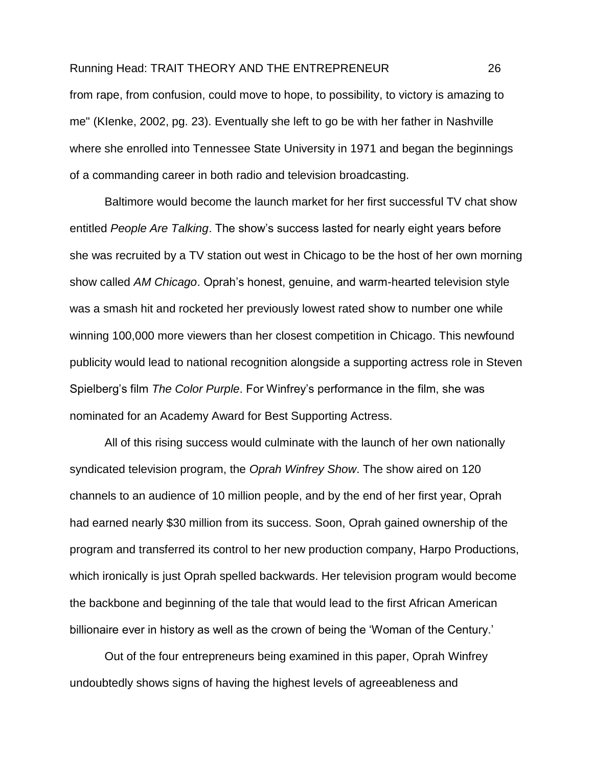from rape, from confusion, could move to hope, to possibility, to victory is amazing to me" (KIenke, 2002, pg. 23). Eventually she left to go be with her father in Nashville where she enrolled into Tennessee State University in 1971 and began the beginnings of a commanding career in both radio and television broadcasting.

 Baltimore would become the launch market for her first successful TV chat show entitled *People Are Talking*. The show's success lasted for nearly eight years before she was recruited by a TV station out west in Chicago to be the host of her own morning show called *AM Chicago*. Oprah's honest, genuine, and warm-hearted television style was a smash hit and rocketed her previously lowest rated show to number one while winning 100,000 more viewers than her closest competition in Chicago. This newfound publicity would lead to national recognition alongside a supporting actress role in Steven Spielberg's film *The Color Purple*. For Winfrey's performance in the film, she was nominated for an Academy Award for Best Supporting Actress.

 All of this rising success would culminate with the launch of her own nationally syndicated television program, the *Oprah Winfrey Show*. The show aired on 120 channels to an audience of 10 million people, and by the end of her first year, Oprah had earned nearly \$30 million from its success. Soon, Oprah gained ownership of the program and transferred its control to her new production company, Harpo Productions, which ironically is just Oprah spelled backwards. Her television program would become the backbone and beginning of the tale that would lead to the first African American billionaire ever in history as well as the crown of being the 'Woman of the Century.'

Out of the four entrepreneurs being examined in this paper, Oprah Winfrey undoubtedly shows signs of having the highest levels of agreeableness and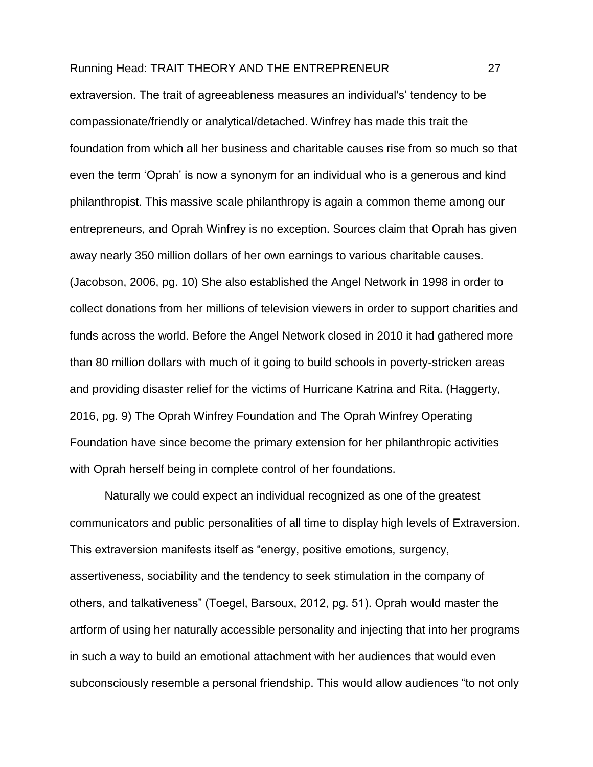extraversion. The trait of agreeableness measures an individual's' tendency to be compassionate/friendly or analytical/detached. Winfrey has made this trait the foundation from which all her business and charitable causes rise from so much so that even the term 'Oprah' is now a synonym for an individual who is a generous and kind philanthropist. This massive scale philanthropy is again a common theme among our entrepreneurs, and Oprah Winfrey is no exception. Sources claim that Oprah has given away nearly 350 million dollars of her own earnings to various charitable causes. (Jacobson, 2006, pg. 10) She also established the Angel Network in 1998 in order to collect donations from her millions of television viewers in order to support charities and funds across the world. Before the Angel Network closed in 2010 it had gathered more than 80 million dollars with much of it going to build schools in poverty-stricken areas and providing disaster relief for the victims of Hurricane Katrina and Rita. (Haggerty, 2016, pg. 9) The Oprah Winfrey Foundation and The Oprah Winfrey Operating Foundation have since become the primary extension for her philanthropic activities with Oprah herself being in complete control of her foundations.

Naturally we could expect an individual recognized as one of the greatest communicators and public personalities of all time to display high levels of Extraversion. This extraversion manifests itself as "energy, positive emotions, [surgency,](https://en.wikipedia.org/wiki/Surgency) assertiveness, sociability and the tendency to seek [stimulation](https://en.wikipedia.org/wiki/Stimulation) in the company of others, and talkativeness" (Toegel, Barsoux, 2012, pg. 51). Oprah would master the artform of using her naturally accessible personality and injecting that into her programs in such a way to build an emotional attachment with her audiences that would even subconsciously resemble a personal friendship. This would allow audiences "to not only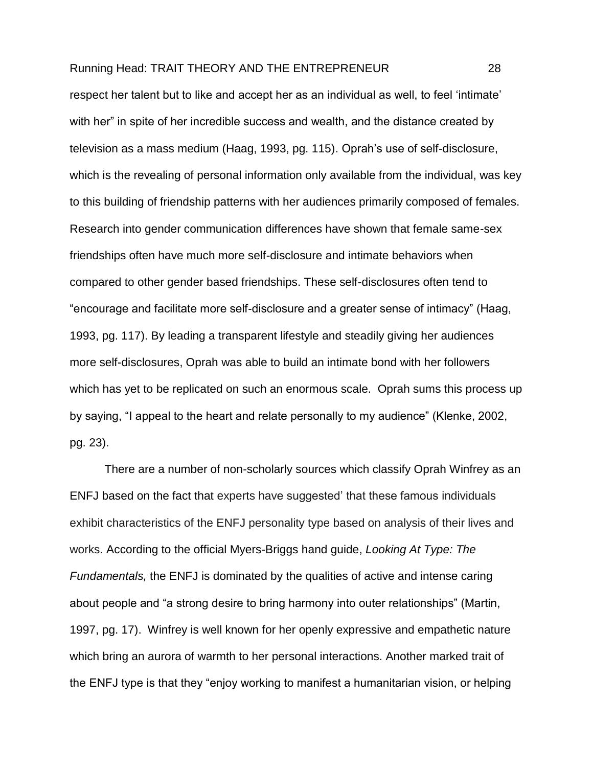respect her talent but to like and accept her as an individual as well, to feel 'intimate' with her" in spite of her incredible success and wealth, and the distance created by television as a mass medium (Haag, 1993, pg. 115). Oprah's use of self-disclosure, which is the revealing of personal information only available from the individual, was key to this building of friendship patterns with her audiences primarily composed of females. Research into gender communication differences have shown that female same-sex friendships often have much more self-disclosure and intimate behaviors when compared to other gender based friendships. These self-disclosures often tend to "encourage and facilitate more self-disclosure and a greater sense of intimacy" (Haag, 1993, pg. 117). By leading a transparent lifestyle and steadily giving her audiences more self-disclosures, Oprah was able to build an intimate bond with her followers which has yet to be replicated on such an enormous scale. Oprah sums this process up by saying, "I appeal to the heart and relate personally to my audience" (Klenke, 2002, pg. 23).

There are a number of non-scholarly sources which classify Oprah Winfrey as an ENFJ based on the fact that experts have suggested' that these famous individuals exhibit characteristics of the ENFJ personality type based on analysis of their lives and works. According to the official Myers-Briggs hand guide, *Looking At Type: The Fundamentals,* the ENFJ is dominated by the qualities of active and intense caring about people and "a strong desire to bring harmony into outer relationships" (Martin, 1997, pg. 17). Winfrey is well known for her openly expressive and empathetic nature which bring an aurora of warmth to her personal interactions. Another marked trait of the ENFJ type is that they "enjoy working to manifest a humanitarian vision, or helping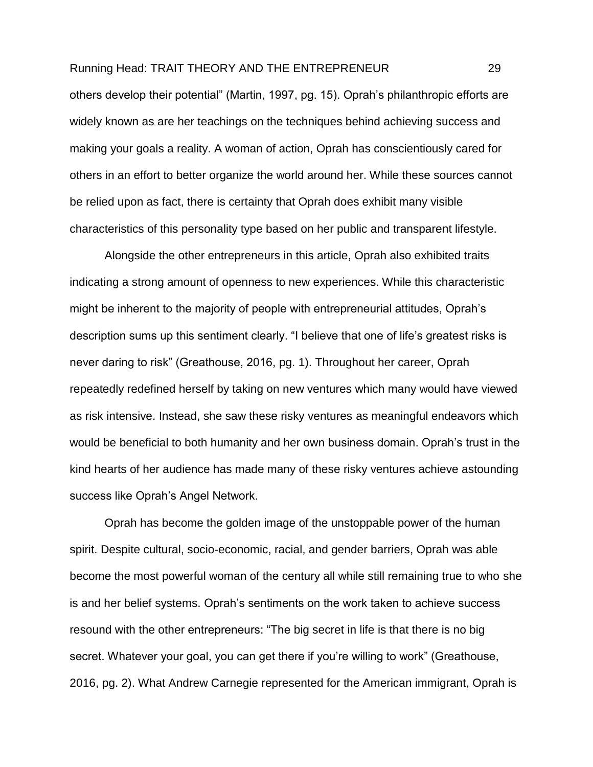others develop their potential" (Martin, 1997, pg. 15). Oprah's philanthropic efforts are widely known as are her teachings on the techniques behind achieving success and making your goals a reality. A woman of action, Oprah has conscientiously cared for others in an effort to better organize the world around her. While these sources cannot be relied upon as fact, there is certainty that Oprah does exhibit many visible characteristics of this personality type based on her public and transparent lifestyle.

Alongside the other entrepreneurs in this article, Oprah also exhibited traits indicating a strong amount of openness to new experiences. While this characteristic might be inherent to the majority of people with entrepreneurial attitudes, Oprah's description sums up this sentiment clearly. "I believe that one of life's greatest risks is never daring to risk" (Greathouse, 2016, pg. 1). Throughout her career, Oprah repeatedly redefined herself by taking on new ventures which many would have viewed as risk intensive. Instead, she saw these risky ventures as meaningful endeavors which would be beneficial to both humanity and her own business domain. Oprah's trust in the kind hearts of her audience has made many of these risky ventures achieve astounding success like Oprah's Angel Network.

Oprah has become the golden image of the unstoppable power of the human spirit. Despite cultural, socio-economic, racial, and gender barriers, Oprah was able become the most powerful woman of the century all while still remaining true to who she is and her belief systems. Oprah's sentiments on the work taken to achieve success resound with the other entrepreneurs: "The big secret in life is that there is no big secret. Whatever your goal, you can get there if you're willing to work" (Greathouse, 2016, pg. 2). What Andrew Carnegie represented for the American immigrant, Oprah is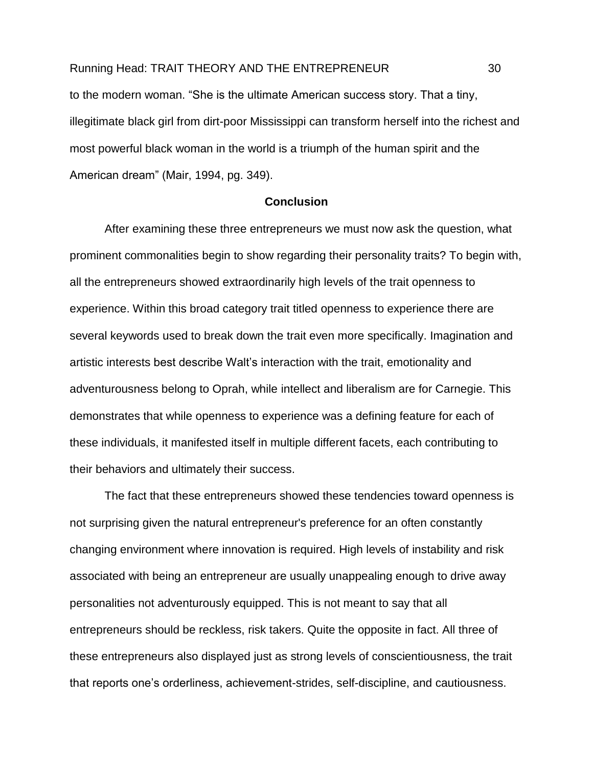to the modern woman. "She is the ultimate American success story. That a tiny, illegitimate black girl from dirt-poor Mississippi can transform herself into the richest and most powerful black woman in the world is a triumph of the human spirit and the American dream" (Mair, 1994, pg. 349).

#### **Conclusion**

<span id="page-30-0"></span>After examining these three entrepreneurs we must now ask the question, what prominent commonalities begin to show regarding their personality traits? To begin with, all the entrepreneurs showed extraordinarily high levels of the trait openness to experience. Within this broad category trait titled openness to experience there are several keywords used to break down the trait even more specifically. Imagination and artistic interests best describe Walt's interaction with the trait, emotionality and adventurousness belong to Oprah, while intellect and liberalism are for Carnegie. This demonstrates that while openness to experience was a defining feature for each of these individuals, it manifested itself in multiple different facets, each contributing to their behaviors and ultimately their success.

The fact that these entrepreneurs showed these tendencies toward openness is not surprising given the natural entrepreneur's preference for an often constantly changing environment where innovation is required. High levels of instability and risk associated with being an entrepreneur are usually unappealing enough to drive away personalities not adventurously equipped. This is not meant to say that all entrepreneurs should be reckless, risk takers. Quite the opposite in fact. All three of these entrepreneurs also displayed just as strong levels of conscientiousness, the trait that reports one's orderliness, achievement-strides, self-discipline, and cautiousness.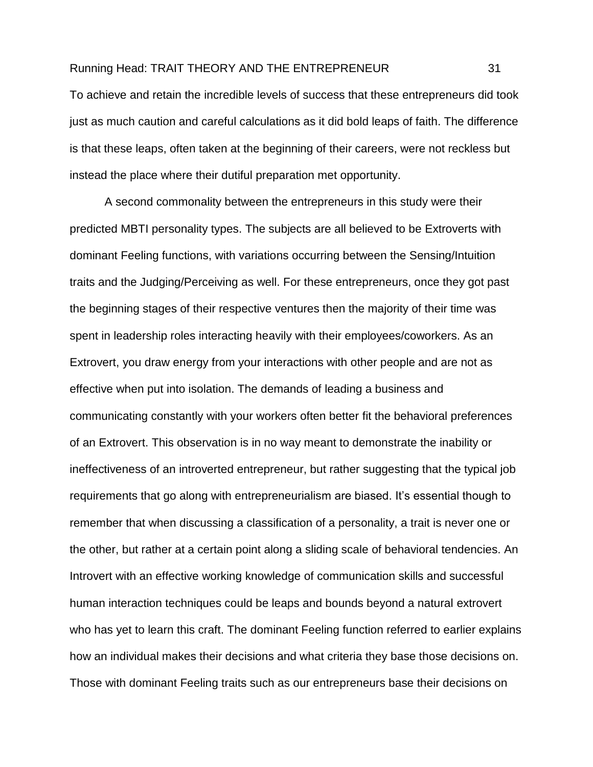To achieve and retain the incredible levels of success that these entrepreneurs did took just as much caution and careful calculations as it did bold leaps of faith. The difference is that these leaps, often taken at the beginning of their careers, were not reckless but instead the place where their dutiful preparation met opportunity.

A second commonality between the entrepreneurs in this study were their predicted MBTI personality types. The subjects are all believed to be Extroverts with dominant Feeling functions, with variations occurring between the Sensing/Intuition traits and the Judging/Perceiving as well. For these entrepreneurs, once they got past the beginning stages of their respective ventures then the majority of their time was spent in leadership roles interacting heavily with their employees/coworkers. As an Extrovert, you draw energy from your interactions with other people and are not as effective when put into isolation. The demands of leading a business and communicating constantly with your workers often better fit the behavioral preferences of an Extrovert. This observation is in no way meant to demonstrate the inability or ineffectiveness of an introverted entrepreneur, but rather suggesting that the typical job requirements that go along with entrepreneurialism are biased. It's essential though to remember that when discussing a classification of a personality, a trait is never one or the other, but rather at a certain point along a sliding scale of behavioral tendencies. An Introvert with an effective working knowledge of communication skills and successful human interaction techniques could be leaps and bounds beyond a natural extrovert who has yet to learn this craft. The dominant Feeling function referred to earlier explains how an individual makes their decisions and what criteria they base those decisions on. Those with dominant Feeling traits such as our entrepreneurs base their decisions on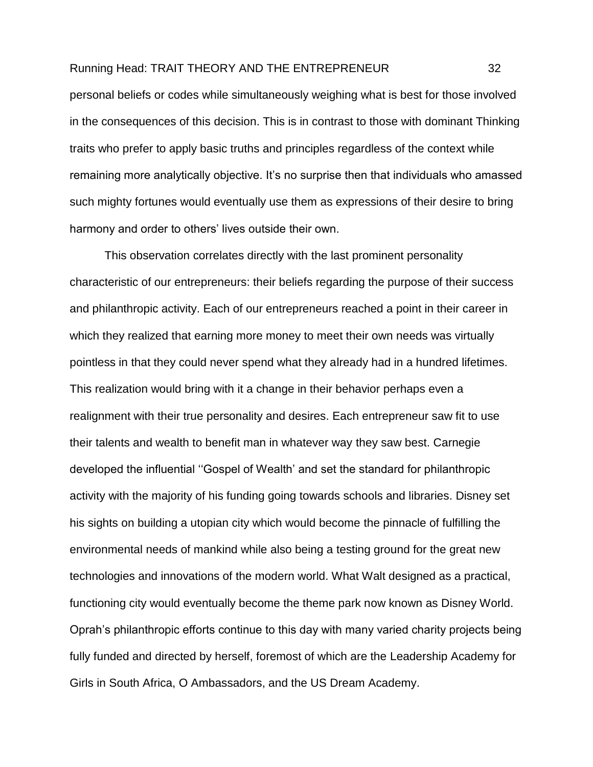personal beliefs or codes while simultaneously weighing what is best for those involved in the consequences of this decision. This is in contrast to those with dominant Thinking traits who prefer to apply basic truths and principles regardless of the context while remaining more analytically objective. It's no surprise then that individuals who amassed such mighty fortunes would eventually use them as expressions of their desire to bring harmony and order to others' lives outside their own.

This observation correlates directly with the last prominent personality characteristic of our entrepreneurs: their beliefs regarding the purpose of their success and philanthropic activity. Each of our entrepreneurs reached a point in their career in which they realized that earning more money to meet their own needs was virtually pointless in that they could never spend what they already had in a hundred lifetimes. This realization would bring with it a change in their behavior perhaps even a realignment with their true personality and desires. Each entrepreneur saw fit to use their talents and wealth to benefit man in whatever way they saw best. Carnegie developed the influential ''Gospel of Wealth' and set the standard for philanthropic activity with the majority of his funding going towards schools and libraries. Disney set his sights on building a utopian city which would become the pinnacle of fulfilling the environmental needs of mankind while also being a testing ground for the great new technologies and innovations of the modern world. What Walt designed as a practical, functioning city would eventually become the theme park now known as Disney World. Oprah's philanthropic efforts continue to this day with many varied charity projects being fully funded and directed by herself, foremost of which are the Leadership Academy for Girls in South Africa, O Ambassadors, and the US Dream Academy.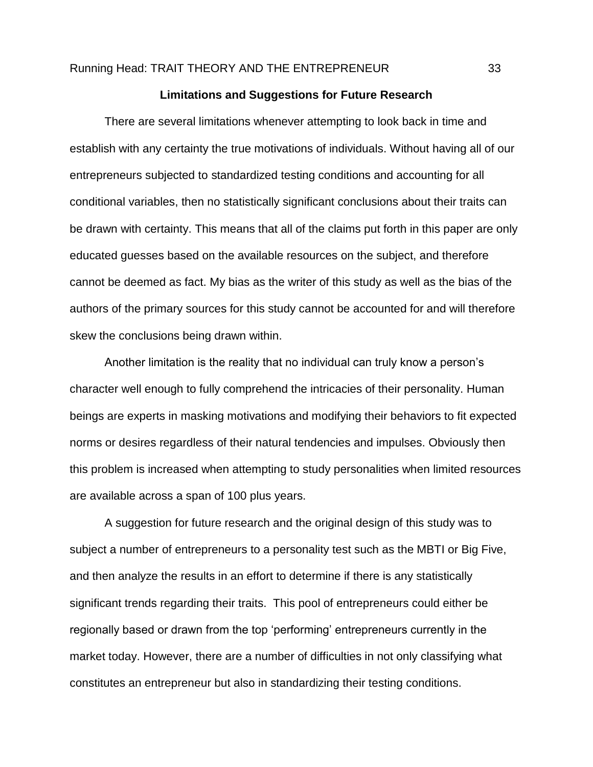#### **Limitations and Suggestions for Future Research**

<span id="page-33-0"></span>There are several limitations whenever attempting to look back in time and establish with any certainty the true motivations of individuals. Without having all of our entrepreneurs subjected to standardized testing conditions and accounting for all conditional variables, then no statistically significant conclusions about their traits can be drawn with certainty. This means that all of the claims put forth in this paper are only educated guesses based on the available resources on the subject, and therefore cannot be deemed as fact. My bias as the writer of this study as well as the bias of the authors of the primary sources for this study cannot be accounted for and will therefore skew the conclusions being drawn within.

Another limitation is the reality that no individual can truly know a person's character well enough to fully comprehend the intricacies of their personality. Human beings are experts in masking motivations and modifying their behaviors to fit expected norms or desires regardless of their natural tendencies and impulses. Obviously then this problem is increased when attempting to study personalities when limited resources are available across a span of 100 plus years.

A suggestion for future research and the original design of this study was to subject a number of entrepreneurs to a personality test such as the MBTI or Big Five, and then analyze the results in an effort to determine if there is any statistically significant trends regarding their traits. This pool of entrepreneurs could either be regionally based or drawn from the top 'performing' entrepreneurs currently in the market today. However, there are a number of difficulties in not only classifying what constitutes an entrepreneur but also in standardizing their testing conditions.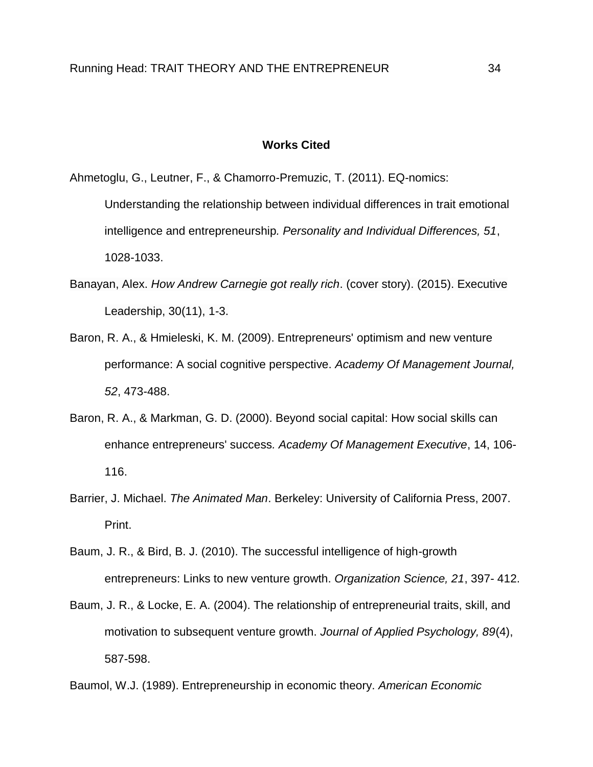#### **Works Cited**

<span id="page-34-0"></span>Ahmetoglu, G., Leutner, F., & Chamorro-Premuzic, T. (2011). EQ-nomics: Understanding the relationship between individual differences in trait emotional intelligence and entrepreneurship*. Personality and Individual Differences, 51*, 1028-1033.

- Banayan, Alex. *How Andrew Carnegie got really rich*. (cover story). (2015). Executive Leadership, 30(11), 1-3.
- Baron, R. A., & Hmieleski, K. M. (2009). Entrepreneurs' optimism and new venture performance: A social cognitive perspective. *Academy Of Management Journal, 52*, 473-488.
- Baron, R. A., & Markman, G. D. (2000). Beyond social capital: How social skills can enhance entrepreneurs' success*. Academy Of Management Executive*, 14, 106- 116.
- Barrier, J. Michael. *The Animated Man*. Berkeley: University of California Press, 2007. Print.
- Baum, J. R., & Bird, B. J. (2010). The successful intelligence of high-growth entrepreneurs: Links to new venture growth. *Organization Science, 21*, 397- 412.
- Baum, J. R., & Locke, E. A. (2004). The relationship of entrepreneurial traits, skill, and motivation to subsequent venture growth. *Journal of Applied Psychology, 89*(4), 587-598.

Baumol, W.J. (1989). Entrepreneurship in economic theory. *American Economic*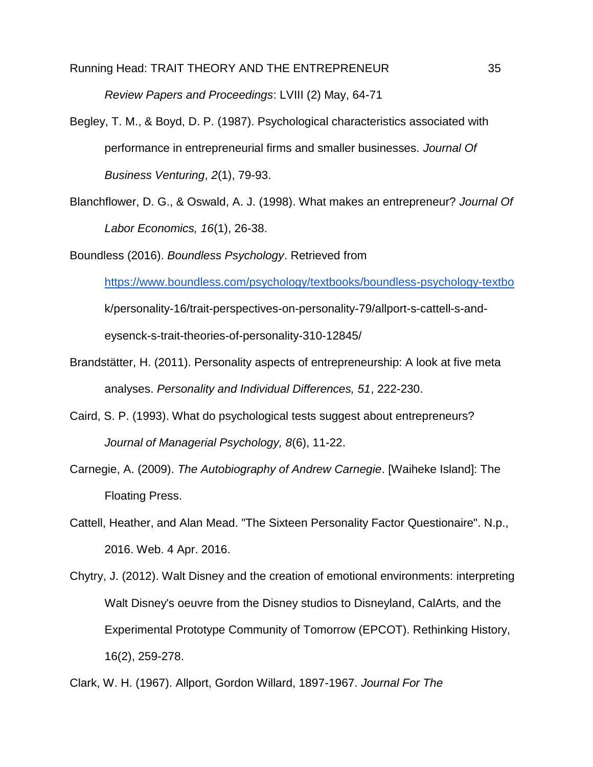*Review Papers and Proceedings*: LVIII (2) May, 64-71

- Begley, T. M., & Boyd, D. P. (1987). Psychological characteristics associated with performance in entrepreneurial firms and smaller businesses. *Journal Of Business Venturing*, *2*(1), 79-93.
- Blanchflower, D. G., & Oswald, A. J. (1998). What makes an entrepreneur? *Journal Of Labor Economics, 16*(1), 26-38.

Boundless (2016). *Boundless Psychology*. Retrieved from

<https://www.boundless.com/psychology/textbooks/boundless-psychology-textbo>

k/personality-16/trait-perspectives-on-personality-79/allport-s-cattell-s-and-

eysenck-s-trait-theories-of-personality-310-12845/

- Brandstätter, H. (2011). Personality aspects of entrepreneurship: A look at five meta analyses. *Personality and Individual Differences, 51*, 222-230.
- Caird, S. P. (1993). What do psychological tests suggest about entrepreneurs? *Journal of Managerial Psychology, 8*(6), 11-22.
- Carnegie, A. (2009). *The Autobiography of Andrew Carnegie*. [Waiheke Island]: The Floating Press.
- Cattell, Heather, and Alan Mead. "The Sixteen Personality Factor Questionaire". N.p., 2016. Web. 4 Apr. 2016.
- Chytry, J. (2012). Walt Disney and the creation of emotional environments: interpreting Walt Disney's oeuvre from the Disney studios to Disneyland, CalArts, and the Experimental Prototype Community of Tomorrow (EPCOT). Rethinking History, 16(2), 259-278.

Clark, W. H. (1967). Allport, Gordon Willard, 1897-1967. *Journal For The*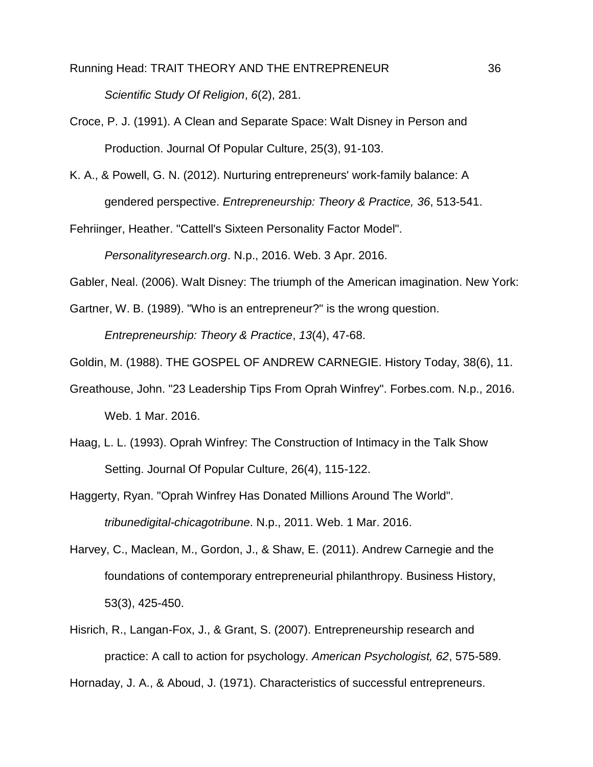Running Head: TRAIT THEORY AND THE ENTREPRENEUR 36 *Scientific Study Of Religion*, *6*(2), 281.

Croce, P. J. (1991). A Clean and Separate Space: Walt Disney in Person and Production. Journal Of Popular Culture, 25(3), 91-103.

K. A., & Powell, G. N. (2012). Nurturing entrepreneurs' work-family balance: A gendered perspective. *Entrepreneurship: Theory & Practice, 36*, 513-541.

Fehriinger, Heather. "Cattell's Sixteen Personality Factor Model".

*Personalityresearch.org*. N.p., 2016. Web. 3 Apr. 2016.

Gabler, Neal. (2006). Walt Disney: The triumph of the American imagination. New York:

Gartner, W. B. (1989). "Who is an entrepreneur?" is the wrong question.

*Entrepreneurship: Theory & Practice*, *13*(4), 47-68.

Goldin, M. (1988). THE GOSPEL OF ANDREW CARNEGIE. History Today, 38(6), 11.

- Greathouse, John. "23 Leadership Tips From Oprah Winfrey". Forbes.com. N.p., 2016. Web. 1 Mar. 2016.
- Haag, L. L. (1993). Oprah Winfrey: The Construction of Intimacy in the Talk Show Setting. Journal Of Popular Culture, 26(4), 115-122.

Haggerty, Ryan. "Oprah Winfrey Has Donated Millions Around The World". *tribunedigital-chicagotribune*. N.p., 2011. Web. 1 Mar. 2016.

- Harvey, C., Maclean, M., Gordon, J., & Shaw, E. (2011). Andrew Carnegie and the foundations of contemporary entrepreneurial philanthropy. Business History, 53(3), 425-450.
- Hisrich, R., Langan-Fox, J., & Grant, S. (2007). Entrepreneurship research and practice: A call to action for psychology. *American Psychologist, 62*, 575-589.

Hornaday, J. A., & Aboud, J. (1971). Characteristics of successful entrepreneurs.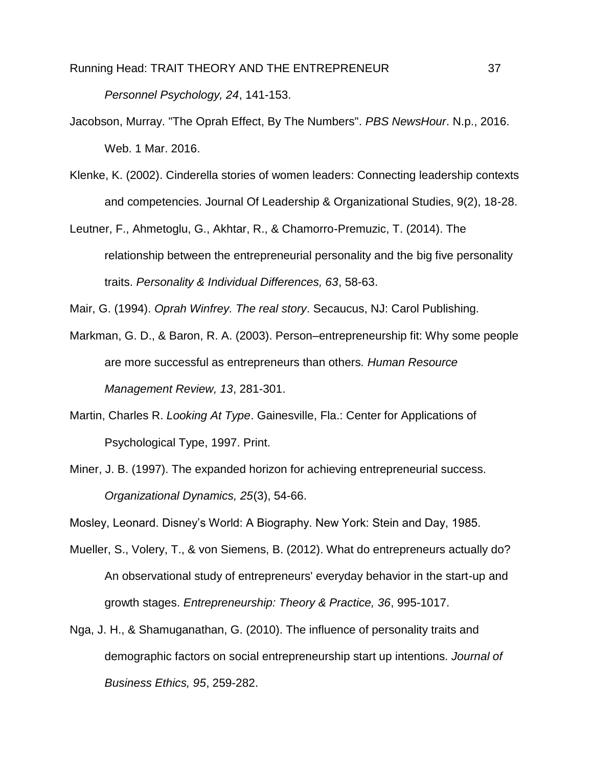*Personnel Psychology, 24*, 141-153.

- Jacobson, Murray. "The Oprah Effect, By The Numbers". *PBS NewsHour*. N.p., 2016. Web. 1 Mar. 2016.
- Klenke, K. (2002). Cinderella stories of women leaders: Connecting leadership contexts and competencies. Journal Of Leadership & Organizational Studies, 9(2), 18-28.
- Leutner, F., Ahmetoglu, G., Akhtar, R., & Chamorro-Premuzic, T. (2014). The relationship between the entrepreneurial personality and the big five personality traits. *Personality & Individual Differences, 63*, 58-63.

Mair, G. (1994). *Oprah Winfrey. The real story*. Secaucus, NJ: Carol Publishing.

- Markman, G. D., & Baron, R. A. (2003). Person–entrepreneurship fit: Why some people are more successful as entrepreneurs than others*. Human Resource Management Review, 13*, 281-301.
- Martin, Charles R. *Looking At Type*. Gainesville, Fla.: Center for Applications of Psychological Type, 1997. Print.
- Miner, J. B. (1997). The expanded horizon for achieving entrepreneurial success. *Organizational Dynamics, 25*(3), 54-66.

Mosley, Leonard. Disney's World: A Biography. New York: Stein and Day, 1985.

- Mueller, S., Volery, T., & von Siemens, B. (2012). What do entrepreneurs actually do? An observational study of entrepreneurs' everyday behavior in the start-up and growth stages. *Entrepreneurship: Theory & Practice, 36*, 995-1017.
- Nga, J. H., & Shamuganathan, G. (2010). The influence of personality traits and demographic factors on social entrepreneurship start up intentions. *Journal of Business Ethics, 95*, 259-282.